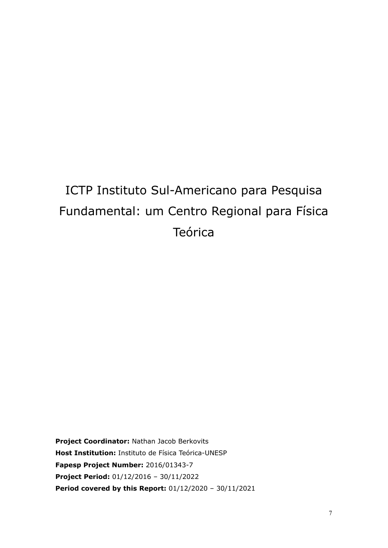# ICTP Instituto Sul-Americano para Pesquisa Fundamental: um Centro Regional para Física Teórica

**Project Coordinator:** Nathan Jacob Berkovits **Host Institution:** Instituto de Física Teórica-UNESP **Fapesp Project Number:** 2016/01343-7 **Project Period:** 01/12/2016 – 30/11/2022 **Period covered by this Report:** 01/12/2020 – 30/11/2021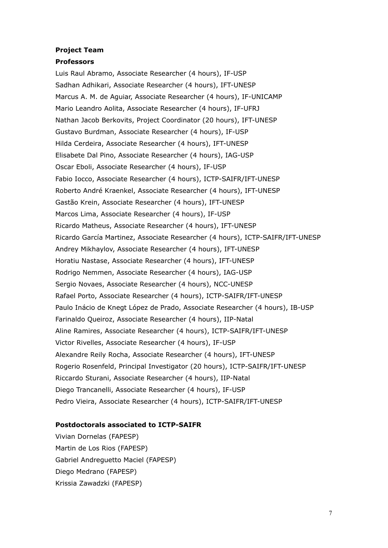#### **Project Team**

#### **Professors**

Luis Raul Abramo, Associate Researcher (4 hours), IF-USP Sadhan Adhikari, Associate Researcher (4 hours), IFT-UNESP Marcus A. M. de Aguiar, Associate Researcher (4 hours), IF-UNICAMP Mario Leandro Aolita, Associate Researcher (4 hours), IF-UFRJ Nathan Jacob Berkovits, Project Coordinator (20 hours), IFT-UNESP Gustavo Burdman, Associate Researcher (4 hours), IF-USP Hilda Cerdeira, Associate Researcher (4 hours), IFT-UNESP Elisabete Dal Pino, Associate Researcher (4 hours), IAG-USP Oscar Eboli, Associate Researcher (4 hours), IF-USP Fabio Iocco, Associate Researcher (4 hours), ICTP-SAIFR/IFT-UNESP Roberto André Kraenkel, Associate Researcher (4 hours), IFT-UNESP Gastão Krein, Associate Researcher (4 hours), IFT-UNESP Marcos Lima, Associate Researcher (4 hours), IF-USP Ricardo Matheus, Associate Researcher (4 hours), IFT-UNESP Ricardo García Martinez, Associate Researcher (4 hours), ICTP-SAIFR/IFT-UNESP Andrey Mikhaylov, Associate Researcher (4 hours), IFT-UNESP Horatiu Nastase, Associate Researcher (4 hours), IFT-UNESP Rodrigo Nemmen, Associate Researcher (4 hours), IAG-USP Sergio Novaes, Associate Researcher (4 hours), NCC-UNESP Rafael Porto, Associate Researcher (4 hours), ICTP-SAIFR/IFT-UNESP Paulo Inácio de Knegt López de Prado, Associate Researcher (4 hours), IB-USP Farinaldo Queiroz, Associate Researcher (4 hours), IIP-Natal Aline Ramires, Associate Researcher (4 hours), ICTP-SAIFR/IFT-UNESP Victor Rivelles, Associate Researcher (4 hours), IF-USP Alexandre Reily Rocha, Associate Researcher (4 hours), IFT-UNESP Rogerio Rosenfeld, Principal Investigator (20 hours), ICTP-SAIFR/IFT-UNESP Riccardo Sturani, Associate Researcher (4 hours), IIP-Natal Diego Trancanelli, Associate Researcher (4 hours), IF-USP Pedro Vieira, Associate Researcher (4 hours), ICTP-SAIFR/IFT-UNESP

#### **Postdoctorals associated to ICTP-SAIFR**

Vivian Dornelas (FAPESP) Martin de Los Rios (FAPESP) Gabriel Andreguetto Maciel (FAPESP) Diego Medrano (FAPESP) Krissia Zawadzki (FAPESP)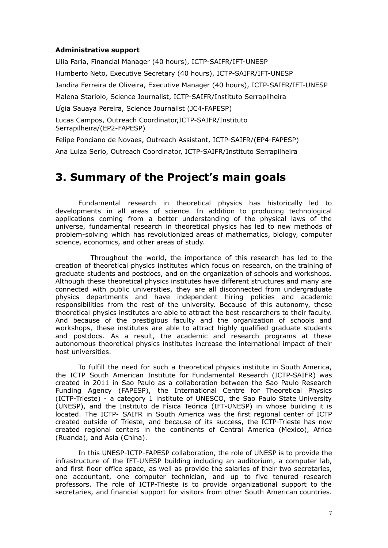#### **Administrative support**

Lilia Faria, Financial Manager (40 hours), ICTP-SAIFR/IFT-UNESP Humberto Neto, Executive Secretary (40 hours), ICTP-SAIFR/IFT-UNESP Jandira Ferreira de Oliveira, Executive Manager (40 hours), ICTP-SAIFR/IFT-UNESP Malena Stariolo, Science Journalist, ICTP-SAIFR/Instituto Serrapilheira Lígia Sauaya Pereira, Science Journalist (JC4-FAPESP) Lucas Campos, Outreach Coordinator,ICTP-SAIFR/Instituto Serrapilheira/(EP2-FAPESP) Felipe Ponciano de Novaes, Outreach Assistant, ICTP-SAIFR/(EP4-FAPESP)

Ana Luiza Serio, Outreach Coordinator, ICTP-SAIFR/Instituto Serrapilheira

## **3. Summary of the Project's main goals**

Fundamental research in theoretical physics has historically led to developments in all areas of science. In addition to producing technological applications coming from a better understanding of the physical laws of the universe, fundamental research in theoretical physics has led to new methods of problem-solving which has revolutionized areas of mathematics, biology, computer science, economics, and other areas of study.

Throughout the world, the importance of this research has led to the creation of theoretical physics institutes which focus on research, on the training of graduate students and postdocs, and on the organization of schools and workshops. Although these theoretical physics institutes have different structures and many are connected with public universities, they are all disconnected from undergraduate physics departments and have independent hiring policies and academic responsibilities from the rest of the university. Because of this autonomy, these theoretical physics institutes are able to attract the best researchers to their faculty. And because of the prestigious faculty and the organization of schools and workshops, these institutes are able to attract highly qualified graduate students and postdocs. As a result, the academic and research programs at these autonomous theoretical physics institutes increase the international impact of their host universities.

To fulfill the need for such a theoretical physics institute in South America, the ICTP South American Institute for Fundamental Research (ICTP-SAIFR) was created in 2011 in Sao Paulo as a collaboration between the Sao Paulo Research Funding Agency (FAPESP), the International Centre for Theoretical Physics (ICTP-Trieste) - a category 1 institute of UNESCO, the Sao Paulo State University (UNESP), and the Instituto de Física Teórica (IFT-UNESP) in whose building it is located. The ICTP- SAIFR in South America was the first regional center of ICTP created outside of Trieste, and because of its success, the ICTP-Trieste has now created regional centers in the continents of Central America (Mexico), Africa (Ruanda), and Asia (China).

In this UNESP-ICTP-FAPESP collaboration, the role of UNESP is to provide the infrastructure of the IFT-UNESP building including an auditorium, a computer lab, and first floor office space, as well as provide the salaries of their two secretaries, one accountant, one computer technician, and up to five tenured research professors. The role of ICTP-Trieste is to provide organizational support to the secretaries, and financial support for visitors from other South American countries.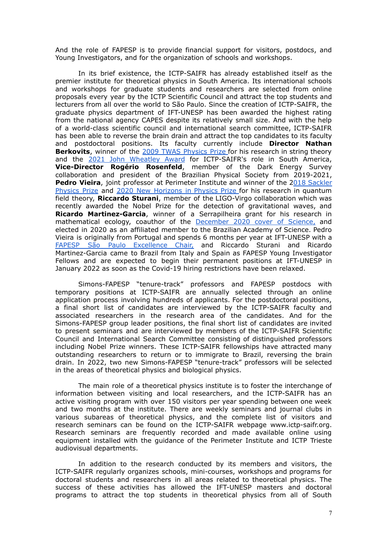And the role of FAPESP is to provide financial support for visitors, postdocs, and Young Investigators, and for the organization of schools and workshops.

In its brief existence, the ICTP-SAIFR has already established itself as the premier institute for theoretical physics in South America. Its international schools and workshops for graduate students and researchers are selected from online proposals every year by the ICTP Scientific Council and attract the top students and lecturers from all over the world to São Paulo. Since the creation of ICTP-SAIFR, the graduate physics department of IFT-UNESP has been awarded the highest rating from the national agency CAPES despite its relatively small size. And with the help of a world-class scientific council and international search committee, ICTP-SAIFR has been able to reverse the brain drain and attract the top candidates to its faculty and postdoctoral positions. Its faculty currently include **Director Nathan Berkovits**, winner of the 2009 TWAS [Physics](https://twas.org/recipients-twas-awards-and-prizes) Prize for his research in string theory and the 2021 John [Wheatley](https://meetings.aps.org/Meeting/MAR21/Session/M10.1) Award for ICTP-SAIFR's role in South America, **Vice-Director Rogério Rosenfeld**, member of the Dark Energy Survey collaboration and president of the Brazilian Physical Society from 2019-2021, **Pedro Vieira**, joint professor at Perimeter Institute and winner of the 2018 [Sackler](https://english.tau.ac.il/sackler_prize_in_physics_past_laureates) [Physics](https://english.tau.ac.il/sackler_prize_in_physics_past_laureates) Prize and 2020 New [Horizons](https://breakthroughprize.org/News/54) in Physics Prize for his research in quantum field theory, **Riccardo Sturani**, member of the LIGO-Virgo collaboration which was recently awarded the Nobel Prize for the detection of gravitational waves, and **Ricardo Martinez-Garcia**, winner of a Serrapilheira grant for his research in mathematical ecology, coauthor of the [December](https://www.science.org/doi/10.1126/science.aba9877) 2020 cover of Science, and elected in 2020 as an affiliated member to the Brazilian Academy of Science. Pedro Vieira is originally from Portugal and spends 6 months per year at IFT-UNESP with a FAPESP São Paulo [Excellence](https://bv.fapesp.br/en/286/sao-paulo-excellence-chair-spec/) Chair, and Riccardo Sturani and Ricardo Martinez-Garcia came to Brazil from Italy and Spain as FAPESP Young Investigator Fellows and are expected to begin their permanent positions at IFT-UNESP in January 2022 as soon as the Covid-19 hiring restrictions have been relaxed.

Simons-FAPESP "tenure-track" professors and FAPESP postdocs with temporary positions at ICTP-SAIFR are annually selected through an online application process involving hundreds of applicants. For the postdoctoral positions, a final short list of candidates are interviewed by the ICTP-SAIFR faculty and associated researchers in the research area of the candidates. And for the Simons-FAPESP group leader positions, the final short list of candidates are invited to present seminars and are interviewed by members of the ICTP-SAIFR Scientific Council and International Search Committee consisting of distinguished professors including Nobel Prize winners. These ICTP-SAIFR fellowships have attracted many outstanding researchers to return or to immigrate to Brazil, reversing the brain drain. In 2022, two new Simons-FAPESP "tenure-track" professors will be selected in the areas of theoretical physics and biological physics.

The main role of a theoretical physics institute is to foster the interchange of information between visiting and local researchers, and the ICTP-SAIFR has an active visiting program with over 150 visitors per year spending between one week and two months at the institute. There are weekly seminars and journal clubs in various subareas of theoretical physics, and the complete list of visitors and research seminars can be found on the ICTP-SAIFR webpage www.ictp-saifr.org. Research seminars are frequently recorded and made available online using equipment installed with the guidance of the Perimeter Institute and ICTP Trieste audiovisual departments.

In addition to the research conducted by its members and visitors, the ICTP-SAIFR regularly organizes schools, mini-courses, workshops and programs for doctoral students and researchers in all areas related to theoretical physics. The success of these activities has allowed the IFT-UNESP masters and doctoral programs to attract the top students in theoretical physics from all of South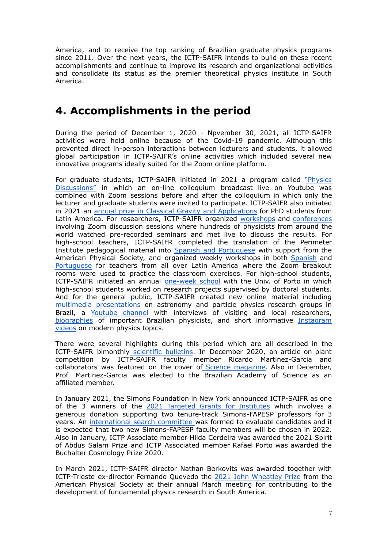America, and to receive the top ranking of Brazilian graduate physics programs since 2011. Over the next years, the ICTP-SAIFR intends to build on these recent accomplishments and continue to improve its research and organizational activities and consolidate its status as the premier theoretical physics institute in South America.

## **4. Accomplishments in the period**

During the period of December 1, 2020 - Npvember 30, 2021, all ICTP-SAIFR activities were held online because of the Covid-19 pandemic. Although this prevented direct in-person interactions between lecturers and students, it allowed global participation in ICTP-SAIFR's online activities which included several new innovative programs ideally suited for the Zoom online platform.

For graduate students, ICTP-SAIFR initiated in 2021 a program called ["Physics](https://www.ictp-saifr.org/physicsdiscussions/) [Discussions"](https://www.ictp-saifr.org/physicsdiscussions/) in which an on-line colloquium broadcast live on Youtube was combined with Zoom sessions before and after the colloquium in which only the lecturer and graduate students were invited to participate. ICTP-SAIFR also initiated in 2021 an annual prize in Classical Gravity and [Applications](https://www.ictp-saifr.org/gravityprize/) for PhD students from Latin America. For researchers, ICTP-SAIFR organized [workshops](https://www.ictp-saifr.org/lawoc2020/) and [conferences](https://www.ictp-saifr.org/strings2021/) involving Zoom discussion sessions where hundreds of physicists from around the world watched pre-recorded seminars and met live to discuss the results. For high-school teachers, ICTP-SAIFR completed the translation of the Perimeter Institute pedagogical material into Spanish and [Portuguese](http://outreach.ictp-saifr.org/ensino-medio/traducoes-para-sala-de-aula/) with support from the American Physical Society, and organized weekly workshops in both [Spanish](http://outreach.ictp-saifr.org/ensino-medio/professores/fisica-de-fronteira-para-a-sala-de-aula-online/espanol/) and [Portuguese](http://outreach.ictp-saifr.org/ensino-medio/professores/fisica-de-fronteira-para-a-sala-de-aula-online/) for teachers from all over Latin America where the Zoom breakout rooms were used to practice the classroom exercises. For high-school students, ICTP-SAIFR initiated an annual [one-week](http://outreach.ictp-saifr.org/escolaverao/) school with the Univ. of Porto in which high-school students worked on research projects supervised by doctoral students. And for the general public, ICTP-SAIFR created new online material including multimedia [presentations](http://outreach.ictp-saifr.org/multimidia/) on astronomy and particle physics research groups in Brazil, a [Youtube](https://www.youtube.com/channel/UCKOa2ehqit9sLT3HKEqw7mw) channel with interviews of visiting and local researchers, [biographies](http://outreach.ictp-saifr.org/pioneiros-da-fisica-brasileira/) of important Brazilian physicists, and short informative [Instagram](http://outreach.ictp-saifr.org/doses-de-fisica/) [videos](http://outreach.ictp-saifr.org/doses-de-fisica/) on modern physics topics.

There were several highlights during this period which are all described in the ICTP-SAIFR bimonthly [scientific](https://www.ictp-saifr.org/scientific-bulletins/) bulletins. In December 2020, an article on plant competition by ICTP-SAIFR faculty member Ricardo Martinez-Garcia and collaborators was featured on the cover of Science [magazine.](https://www.science.org/toc/science/370/6521) Also in December, Prof. Martinez-Garcia was elected to the Brazilian Academy of Science as an affiliated member.

In January 2021, the Simons Foundation in New York announced ICTP-SAIFR as one of the 3 winners of the 2021 Targeted Grants for [Institutes](https://www.simonsfoundation.org/grant/targeted-grants-to-institutes/?tab=awardees) which involves a generous donation supporting two tenure-track Simons-FAPESP professors for 3 years. An [international](https://www.ictp-saifr.org/international-search-committee/) search committee was formed to evaluate candidates and it is expected that two new Simons-FAPESP faculty members will be chosen in 2022. Also in January, ICTP Associate member Hilda Cerdeira was awarded the 2021 Spirit of Abdus Salam Prize and ICTP Associated member Rafael Porto was awarded the Buchalter Cosmology Prize 2020.

In March 2021, ICTP-SAIFR director Nathan Berkovits was awarded together with ICTP-Trieste ex-director Fernando Quevedo the 2021 John [Wheatley](https://www.aps.org/programs/honors/prizes/prizerecipient.cfm?last_nm=Berkovits&first_nm=Nathan&year=2021) Prize from the American Physical Society at their annual March meeting for contributing to the development of fundamental physics research in South America.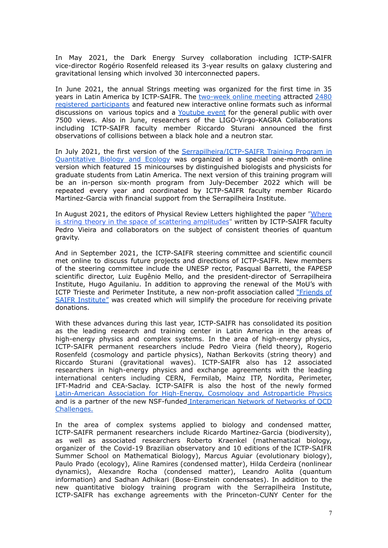In May 2021, the Dark Energy Survey collaboration including ICTP-SAIFR vice-director Rogério Rosenfeld released its 3-year results on galaxy clustering and gravitational lensing which involved 30 interconnected papers.

In June 2021, the annual Strings meeting was organized for the first time in 35 years in Latin America by ICTP-SAIFR. The [two-week](https://www.ictp-saifr.org/strings2021/) online meeting attracted [2480](https://www.ictp-saifr.org/wp-content/uploads/2021/11/Strings-2021-final-list.pdf) registered [participants](https://www.ictp-saifr.org/wp-content/uploads/2021/11/Strings-2021-final-list.pdf) and featured new interactive online formats such as informal discussions on various topics and a [Youtube](https://www.youtube.com/watch?v=WwmxaXTnGMI&feature=youtu.be) event for the general public with over 7500 views. Also in June, researchers of the LIGO-Virgo-KAGRA Collaborations including ICTP-SAIFR faculty member Riccardo Sturani announced the first observations of collisions between a black hole and a neutron star.

In July 2021, the first version of the [Serrapilheira/ICTP-SAIFR](https://www.ictp-saifr.org/qbioprogram/) Training Program in [Quantitative](https://www.ictp-saifr.org/qbioprogram/) Biology and Ecology was organized in a special one-month online version which featured 15 minicourses by distinguished biologists and physicists for graduate students from Latin America. The next version of this training program will be an in-person six-month program from July-December 2022 which will be repeated every year and coordinated by ICTP-SAIFR faculty member Ricardo Martinez-Garcia with financial support from the Serrapilheira Institute.

In August 2021, the editors of Physical Review Letters highlighted the paper ["Where](https://journals.aps.org/prl/abstract/10.1103/PhysRevLett.127.081601) is string theory in the space of scattering [amplitudes](https://journals.aps.org/prl/abstract/10.1103/PhysRevLett.127.081601)" written by ICTP-SAIFR faculty Pedro Vieira and collaborators on the subject of consistent theories of quantum gravity.

And in September 2021, the ICTP-SAIFR steering committee and scientific council met online to discuss future projects and directions of ICTP-SAIFR. New members of the steering committee include the UNESP rector, Pasqual Barretti, the FAPESP scientific director, Luiz Eugênio Mello, and the president-director of Serrapilheira Institute, Hugo Aguilaniu. In addition to approving the renewal of the MoU's with ICTP Trieste and Perimeter Institute, a new non-profit association called ["Friends](https://www.ictp-saifr.org/instituto-amigos-do-saifr/) of SAIFR [Institute"](https://www.ictp-saifr.org/instituto-amigos-do-saifr/) was created which will simplify the procedure for receiving private donations.

With these advances during this last year, ICTP-SAIFR has consolidated its position as the leading research and training center in Latin America in the areas of high-energy physics and complex systems. In the area of high-energy physics, ICTP-SAIFR permanent researchers include Pedro Vieira (field theory), Rogerio Rosenfeld (cosmology and particle physics), Nathan Berkovits (string theory) and Riccardo Sturani (gravitational waves). ICTP-SAIFR also has 12 associated researchers in high-energy physics and exchange agreements with the leading international centers including CERN, Fermilab, Mainz ITP, Nordita, Perimeter, IFT-Madrid and CEA-Saclay. ICTP-SAIFR is also the host of the newly formed [Latin-American](https://www.ictp-saifr.org/wp-content/uploads/2021/10/Latin-American-Association-for-High-Energy-Cosmology-and-Astroparticle-Physics.pdf) Association for High-Energy, Cosmology and Astroparticle Physics and is a partner of the new NSF-funded [Interamerican](https://sites.google.com/view/inter-american-network-qcd/) Network of Networks of QCD [Challenges.](https://sites.google.com/view/inter-american-network-qcd/)

In the area of complex systems applied to biology and condensed matter, ICTP-SAIFR permanent researchers include Ricardo Martinez-Garcia (biodiversity), as well as associated researchers Roberto Kraenkel (mathematical biology, organizer of the Covid-19 Brazilian observatory and 10 editions of the ICTP-SAIFR Summer School on Mathematical Biology), Marcus Aguiar (evolutionary biology), Paulo Prado (ecology), Aline Ramires (condensed matter), Hilda Cerdeira (nonlinear dynamics), Alexandre Rocha (condensed matter), Leandro Aolita (quantum information) and Sadhan Adhikari (Bose-Einstein condensates). In addition to the new quantitative biology training program with the Serrapilheira Institute, ICTP-SAIFR has exchange agreements with the Princeton-CUNY Center for the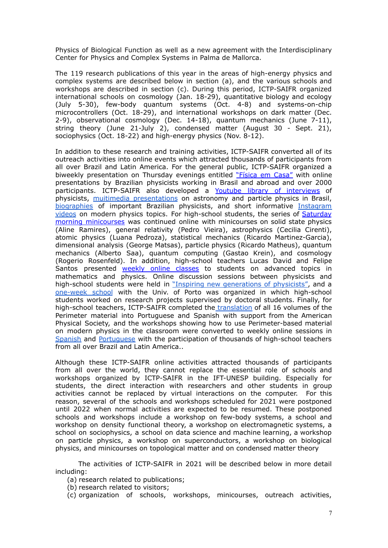Physics of Biological Function as well as a new agreement with the Interdisciplinary Center for Physics and Complex Systems in Palma de Mallorca.

The 119 research publications of this year in the areas of high-energy physics and complex systems are described below in section (a), and the various schools and workshops are described in section (c). During this period, ICTP-SAIFR organized international schools on cosmology (Jan. 18-29), quantitative biology and ecology (July 5-30), few-body quantum systems (Oct. 4-8) and systems-on-chip microcontrollers (Oct. 18-29), and international workshops on dark matter (Dec. 2-9), observational cosmology (Dec. 14-18), quantum mechanics (June 7-11), string theory (June 21-July 2), condensed matter (August 30 - Sept. 21), sociophysics (Oct. 18-22) and high-energy physics (Nov. 8-12).

In addition to these research and training activities, ICTP-SAIFR converted all of its outreach activities into online events which attracted thousands of participants from all over Brazil and Latin America. For the general public, ICTP-SAIFR organized a biweekly presentation on Thursday evenings entitled ["Física](http://outreach.ictp-saifr.org/fisica-em-casa/) em Casa" with online presentations by Brazilian physicists working in Brasil and abroad and over 2000 participants. ICTP-SAIFR also developed a Youtube library of [interviews](https://www.youtube.com/channel/UCKOa2ehqit9sLT3HKEqw7mw) of physicists, muitimedia [presentations](http://outreach.ictp-saifr.org/multimidia/) on astronomy and particle physics in Brasil, [biographies](http://outreach.ictp-saifr.org/pioneiros-da-fisica-brasileira/) of important Brazilian physicists, and short informative [Instagram](http://outreach.ictp-saifr.org/doses-de-fisica/) [videos](http://outreach.ictp-saifr.org/doses-de-fisica/) on modern physics topics. For high-school students, the series of [Saturday](http://outreach.ictp-saifr.org/ensino-medio/minicurso/) morning [minicourses](http://outreach.ictp-saifr.org/ensino-medio/minicurso/) was continued online with minicourses on solid state physics (Aline Ramires), general relativity (Pedro Vieira), astrophysics (Cecilia Cirenti), atomic physics (Luana Pedroza), statistical mechanics (Ricardo Martinez-Garcia), dimensional analysis (George Matsas), particle physics (Ricardo Matheus), quantum mechanics (Alberto Saa), quantum computing (Gastao Krein), and cosmology (Rogerio Rosenfeld). In addition, high-school teachers Lucas David and Felipe Santos presented weekly online [classes](http://outreach.ictp-saifr.org/modulos-de-aulas-para-estudantes-do-ensino-medio/) to students on advanced topics in mathematics and physics. Online discussion sessions between physicists and high-school students were held in "Inspiring new [generations](http://outreach.ictp-saifr.org/inspirando/) of physicists", and a [one-week](http://outreach.ictp-saifr.org/escolaverao/) school with the Univ. of Porto was organized in which high-school students worked on research projects supervised by doctoral students. Finally, for high-school teachers, ICTP-SAIFR completed the [translation](http://outreach.ictp-saifr.org/ensino-medio/traducoes-para-sala-de-aula/) of all 16 volumes of the Perimeter material into Portuguese and Spanish with support from the American Physical Society, and the workshops showing how to use Perimeter-based material on modern physics in the classroom were converted to weekly online sessions in [Spanish](http://outreach.ictp-saifr.org/ensino-medio/professores/fisica-de-fronteira-para-a-sala-de-aula-online/espanol/) and [Portuguese](http://outreach.ictp-saifr.org/ensino-medio/professores/fisica-de-fronteira-para-a-sala-de-aula-online/) with the participation of thousands of high-school teachers from all over Brazil and Latin America..

Although these ICTP-SAIFR online activities attracted thousands of participants from all over the world, they cannot replace the essential role of schools and workshops organized by ICTP-SAIFR in the IFT-UNESP building. Especially for students, the direct interaction with researchers and other students in group activities cannot be replaced by virtual interactions on the computer. For this reason, several of the schools and workshops scheduled for 2021 were postponed until 2022 when normal activities are expected to be resumed. These postponed schools and workshops include a workshop on few-body systems, a school and workshop on density functional theory, a workshop on electromagnetic systems, a school on sociophysics, a school on data science and machine learning, a workshop on particle physics, a workshop on superconductors, a workshop on biological physics, and minicourses on topological matter and on condensed matter theory

The activities of ICTP-SAIFR in 2021 will be described below in more detail including:

(a) research related to publications;

- (b) research related to visitors;
- (c) organization of schools, workshops, minicourses, outreach activities,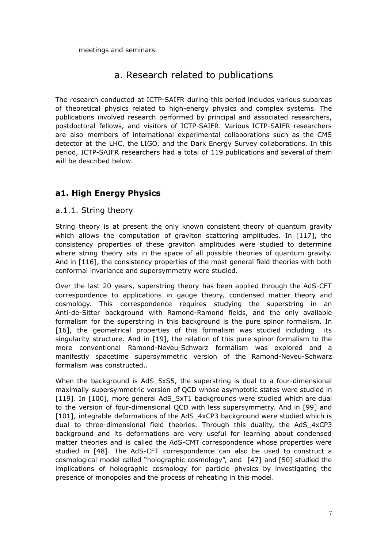meetings and seminars.

## a. Research related to publications

The research conducted at ICTP-SAIFR during this period includes various subareas of theoretical physics related to high-energy physics and complex systems. The publications involved research performed by principal and associated researchers, postdoctoral fellows, and visitors of ICTP-SAIFR. Various ICTP-SAIFR researchers are also members of international experimental collaborations such as the CMS detector at the LHC, the LIGO, and the Dark Energy Survey collaborations. In this period, ICTP-SAIFR researchers had a total of 119 publications and several of them will be described below.

## **a1. High Energy Physics**

#### a.1.1. String theory

String theory is at present the only known consistent theory of quantum gravity which allows the computation of graviton scattering amplitudes. In [117], the consistency properties of these graviton amplitudes were studied to determine where string theory sits in the space of all possible theories of quantum gravity. And in [116], the consistency properties of the most general field theories with both conformal invariance and supersymmetry were studied.

Over the last 20 years, superstring theory has been applied through the AdS-CFT correspondence to applications in gauge theory, condensed matter theory and cosmology. This correspondence requires studying the superstring in an Anti-de-Sitter background with Ramond-Ramond fields, and the only available formalism for the superstring in this background is the pure spinor formalism. In [16], the geometrical properties of this formalism was studied including its singularity structure. And in [19], the relation of this pure spinor formalism to the more conventional Ramond-Neveu-Schwarz formalism was explored and a manifestly spacetime supersymmetric version of the Ramond-Neveu-Schwarz formalism was constructed..

When the background is AdS 5xS5, the superstring is dual to a four-dimensional maximally supersymmetric version of QCD whose asymptotic states were studied in [119]. In [100], more general AdS\_5xT1 backgrounds were studied which are dual to the version of four-dimensional QCD with less supersymmetry. And in [99] and [101], integrable deformations of the AdS\_4xCP3 background were studied which is dual to three-dimensional field theories. Through this duality, the AdS\_4xCP3 background and its deformations are very useful for learning about condensed matter theories and is called the AdS-CMT correspondence whose properties were studied in [48]. The AdS-CFT correspondence can also be used to construct a cosmological model called "holographic cosmology", and [47] and [50] studied the implications of holographic cosmology for particle physics by investigating the presence of monopoles and the process of reheating in this model.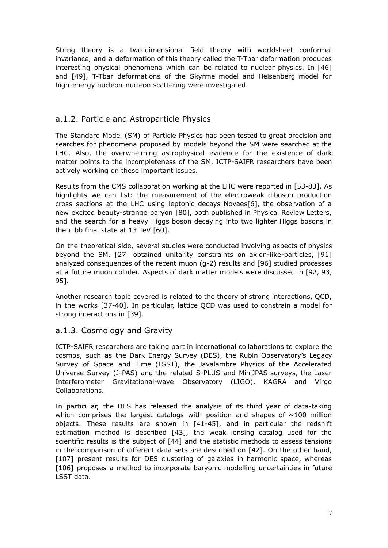String theory is a two-dimensional field theory with worldsheet conformal invariance, and a deformation of this theory called the T-Tbar deformation produces interesting physical phenomena which can be related to nuclear physics. In [46] and [49], T-Tbar deformations of the Skyrme model and Heisenberg model for high-energy nucleon-nucleon scattering were investigated.

## a.1.2. Particle and Astroparticle Physics

The Standard Model (SM) of Particle Physics has been tested to great precision and searches for phenomena proposed by models beyond the SM were searched at the LHC. Also, the overwhelming astrophysical evidence for the existence of dark matter points to the incompleteness of the SM. ICTP-SAIFR researchers have been actively working on these important issues.

Results from the CMS collaboration working at the LHC were reported in [53-83]. As highlights we can list: the measurement of the electroweak diboson production cross sections at the LHC using leptonic decays Novaes[6], the observation of a new excited beauty-strange baryon [80], both published in Physical Review Letters, and the search for a heavy Higgs boson decaying into two lighter Higgs bosons in the ττbb final state at 13 TeV [60].

On the theoretical side, several studies were conducted involving aspects of physics beyond the SM. [27] obtained unitarity constraints on axion-like-particles, [91] analyzed consequences of the recent muon (g-2) results and [96] studied processes at a future muon collider. Aspects of dark matter models were discussed in [92, 93, 95].

Another research topic covered is related to the theory of strong interactions, QCD, in the works [37-40]. In particular, lattice QCD was used to constrain a model for strong interactions in [39].

## a.1.3. Cosmology and Gravity

ICTP-SAIFR researchers are taking part in international collaborations to explore the cosmos, such as the Dark Energy Survey (DES), the Rubin Observatory's Legacy Survey of Space and Time (LSST), the Javalambre Physics of the Accelerated Universe Survey (J-PAS) and the related S-PLUS and MiniJPAS surveys, the Laser Interferometer Gravitational-wave Observatory (LIGO), KAGRA and Virgo Collaborations.

In particular, the DES has released the analysis of its third year of data-taking which comprises the largest catalogs with position and shapes of  $\sim$ 100 million objects. These results are shown in [41-45], and in particular the redshift estimation method is described [43], the weak lensing catalog used for the scientific results is the subject of [44] and the statistic methods to assess tensions in the comparison of different data sets are described on [42]. On the other hand, [107] present results for DES clustering of galaxies in harmonic space, whereas [106] proposes a method to incorporate baryonic modelling uncertainties in future LSST data.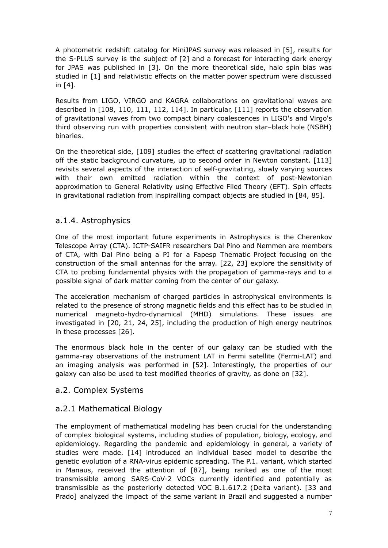A photometric redshift catalog for MiniJPAS survey was released in [5], results for the S-PLUS survey is the subject of [2] and a forecast for interacting dark energy for JPAS was published in [3]. On the more theoretical side, halo spin bias was studied in [1] and relativistic effects on the matter power spectrum were discussed in [4].

Results from LIGO, VIRGO and KAGRA collaborations on gravitational waves are described in [108, 110, 111, 112, 114]. In particular, [111] reports the observation of gravitational waves from two compact binary coalescences in LIGO's and Virgo's third observing run with properties consistent with neutron star–black hole (NSBH) binaries.

On the theoretical side, [109] studies the effect of scattering gravitational radiation off the static background curvature, up to second order in Newton constant. [113] revisits several aspects of the interaction of self-gravitating, slowly varying sources with their own emitted radiation within the context of post-Newtonian approximation to General Relativity using Effective Filed Theory (EFT). Spin effects in gravitational radiation from inspiralling compact objects are studied in [84, 85].

### a.1.4. Astrophysics

One of the most important future experiments in Astrophysics is the Cherenkov Telescope Array (CTA). ICTP-SAIFR researchers Dal Pino and Nemmen are members of CTA, with Dal Pino being a PI for a Fapesp Thematic Project focusing on the construction of the small antennas for the array. [22, 23] explore the sensitivity of CTA to probing fundamental physics with the propagation of gamma-rays and to a possible signal of dark matter coming from the center of our galaxy.

The acceleration mechanism of charged particles in astrophysical environments is related to the presence of strong magnetic fields and this effect has to be studied in numerical magneto-hydro-dynamical (MHD) simulations. These issues are investigated in [20, 21, 24, 25], including the production of high energy neutrinos in these processes [26].

The enormous black hole in the center of our galaxy can be studied with the gamma-ray observations of the instrument LAT in Fermi satellite (Fermi-LAT) and an imaging analysis was performed in [52]. Interestingly, the properties of our galaxy can also be used to test modified theories of gravity, as done on [32].

### a.2. Complex Systems

## a.2.1 Mathematical Biology

The employment of mathematical modeling has been crucial for the understanding of complex biological systems, including studies of population, biology, ecology, and epidemiology. Regarding the pandemic and epidemiology in general, a variety of studies were made. [14] introduced an individual based model to describe the genetic evolution of a RNA-virus epidemic spreading. The P.1. variant, which started in Manaus, received the attention of [87], being ranked as one of the most transmissible among SARS-CoV-2 VOCs currently identified and potentially as transmissible as the posteriorly detected VOC B.1.617.2 (Delta variant). [33 and Prado] analyzed the impact of the same variant in Brazil and suggested a number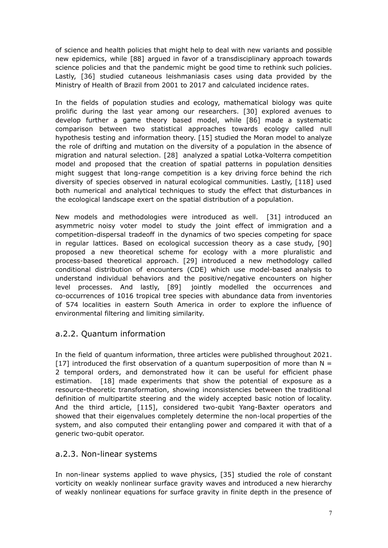of science and health policies that might help to deal with new variants and possible new epidemics, while [88] argued in favor of a transdisciplinary approach towards science policies and that the pandemic might be good time to rethink such policies. Lastly, [36] studied cutaneous leishmaniasis cases using data provided by the Ministry of Health of Brazil from 2001 to 2017 and calculated incidence rates.

In the fields of population studies and ecology, mathematical biology was quite prolific during the last year among our researchers. [30] explored avenues to develop further a game theory based model, while [86] made a systematic comparison between two statistical approaches towards ecology called null hypothesis testing and information theory. [15] studied the Moran model to analyze the role of drifting and mutation on the diversity of a population in the absence of migration and natural selection. [28] analyzed a spatial Lotka-Volterra competition model and proposed that the creation of spatial patterns in population densities might suggest that long-range competition is a key driving force behind the rich diversity of species observed in natural ecological communities. Lastly, [118] used both numerical and analytical techniques to study the effect that disturbances in the ecological landscape exert on the spatial distribution of a population.

New models and methodologies were introduced as well. [31] introduced an asymmetric noisy voter model to study the joint effect of immigration and a competition-dispersal tradeoff in the dynamics of two species competing for space in regular lattices. Based on ecological succession theory as a case study, [90] proposed a new theoretical scheme for ecology with a more pluralistic and process-based theoretical approach. [29] introduced a new methodology called conditional distribution of encounters (CDE) which use model-based analysis to understand individual behaviors and the positive/negative encounters on higher level processes. And lastly, [89] jointly modelled the occurrences and co-occurrences of 1016 tropical tree species with abundance data from inventories of 574 localities in eastern South America in order to explore the influence of environmental filtering and limiting similarity.

## a.2.2. Quantum information

In the field of quantum information, three articles were published throughout 2021. [17] introduced the first observation of a quantum superposition of more than  $N =$ 2 temporal orders, and demonstrated how it can be useful for efficient phase estimation. [18] made experiments that show the potential of exposure as a resource-theoretic transformation, showing inconsistencies between the traditional definition of multipartite steering and the widely accepted basic notion of locality. And the third article, [115], considered two-qubit Yang-Baxter operators and showed that their eigenvalues completely determine the non-local properties of the system, and also computed their entangling power and compared it with that of a generic two-qubit operator.

### a.2.3. Non-linear systems

In non-linear systems applied to wave physics, [35] studied the role of constant vorticity on weakly nonlinear surface gravity waves and introduced a new hierarchy of weakly nonlinear equations for surface gravity in finite depth in the presence of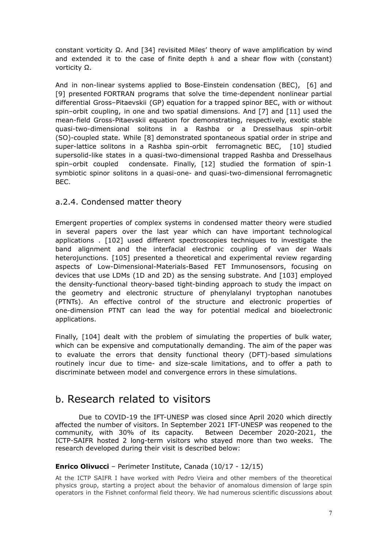constant vorticity Ω. And [34] revisited Miles' theory of wave amplification by wind and extended it to the case of finite depth  $h$  and a shear flow with (constant) vorticity Ω.

And in non-linear systems applied to Bose-Einstein condensation (BEC), [6] and [9] presented FORTRAN programs that solve the time-dependent nonlinear partial differential Gross–Pitaevskii (GP) equation for a trapped spinor BEC, with or without spin–orbit coupling, in one and two spatial dimensions. And [7] and [11] used the mean-field Gross-Pitaevskii equation for demonstrating, respectively, exotic stable quasi-two-dimensional solitons in a Rashba or a Dresselhaus spin-orbit (SO)-coupled state. While [8] demonstrated spontaneous spatial order in stripe and super-lattice solitons in a Rashba spin-orbit ferromagnetic BEC, [10] studied supersolid-like states in a quasi-two-dimensional trapped Rashba and Dresselhaus spin–orbit coupled condensate. Finally, [12] studied the formation of spin-1 symbiotic spinor solitons in a quasi-one- and quasi-two-dimensional ferromagnetic BEC.

### a.2.4. Condensed matter theory

Emergent properties of complex systems in condensed matter theory were studied in several papers over the last year which can have important technological applications . [102] used different spectroscopies techniques to investigate the band alignment and the interfacial electronic coupling of van der Waals heterojunctions. [105] presented a theoretical and experimental review regarding aspects of Low-Dimensional-Materials-Based FET Immunosensors, focusing on devices that use LDMs (1D and 2D) as the sensing substrate. And [103] employed the density-functional theory-based tight-binding approach to study the impact on the geometry and electronic structure of phenylalanyl tryptophan nanotubes (PTNTs). An effective control of the structure and electronic properties of one-dimension PTNT can lead the way for potential medical and bioelectronic applications.

Finally, [104] dealt with the problem of simulating the properties of bulk water, which can be expensive and computationally demanding. The aim of the paper was to evaluate the errors that density functional theory (DFT)-based simulations routinely incur due to time- and size-scale limitations, and to offer a path to discriminate between model and convergence errors in these simulations.

## b. Research related to visitors

Due to COVID-19 the IFT-UNESP was closed since April 2020 which directly affected the number of visitors. In September 2021 IFT-UNESP was reopened to the community, with 30% of its capacity. Between December 2020-2021, the ICTP-SAIFR hosted 2 long-term visitors who stayed more than two weeks. The research developed during their visit is described below:

#### **Enrico Olivucci** – Perimeter Institute, Canada (10/17 - 12/15)

At the ICTP SAIFR I have worked with Pedro Vieira and other members of the theoretical physics group, starting a project about the behavior of anomalous dimension of large spin operators in the Fishnet conformal field theory. We had numerous scientific discussions about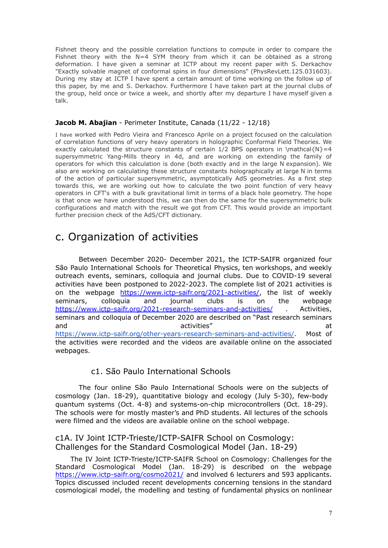Fishnet theory and the possible correlation functions to compute in order to compare the Fishnet theory with the  $N=4$  SYM theory from which it can be obtained as a strong deformation. I have given a seminar at ICTP about my recent paper with S. Derkachov "Exactly solvable magnet of conformal spins in four dimensions" (PhysRevLett.125.031603). During my stay at ICTP I have spent a certain amount of time working on the follow up of this paper, by me and S. Derkachov. Furthermore I have taken part at the journal clubs of the group, held once or twice a week, and shortly after my departure I have myself given a talk.

#### **Jacob M. Abajian** - Perimeter Institute, Canada (11/22 - 12/18)

I have worked with Pedro Vieira and Francesco Aprile on a project focused on the calculation of correlation functions of very heavy operators in holographic Conformal Field Theories. We exactly calculated the structure constants of certain  $1/2$  BPS operators in \mathcal{N}=4 supersymmetric Yang-Mills theory in 4d, and are working on extending the family of operators for which this calculation is done (both exactly and in the large N expansion). We also are working on calculating these structure constants holographically at large N in terms of the action of particular supersymmetric, asymptotically AdS geometries. As a first step towards this, we are working out how to calculate the two point function of very heavy operators in CFT's with a bulk gravitational limit in terms of a black hole geometry. The hope is that once we have understood this, we can then do the same for the supersymmetric bulk configurations and match with the result we got from CFT. This would provide an important further precision check of the AdS/CFT dictionary.

## c. Organization of activities

Between December 2020- December 2021, the ICTP-SAIFR organized four São Paulo International Schools for Theoretical Physics, ten workshops, and weekly outreach events, seminars, colloquia and journal clubs. Due to COVID-19 several activities have been postponed to 2022-2023. The complete list of 2021 activities is on the webpage <https://www.ictp-saifr.org/2021-activities/>, the list of weekly seminars, colloquia and journal clubs is on the webpage <https://www.ictp-saifr.org/2021-research-seminars-and-activities/> Activities, seminars and colloquia of December 2020 are described on "Past research seminars and activities" and activities and activities are  $\overline{a}$ https://www.ictp-saifr.org/other-years-research-seminars-and-activities/. Most of the activities were recorded and the videos are available online on the associated webpages.

#### c1. São Paulo International Schools

The four online São Paulo International Schools were on the subjects of cosmology (Jan. 18-29), quantitative biology and ecology (July 5-30), few-body quantum systems (Oct. 4-8) and systems-on-chip microcontrollers (Oct. 18-29). The schools were for mostly master's and PhD students. All lectures of the schools were filmed and the videos are available online on the school webpage.

### c1A. IV Joint ICTP-Trieste/ICTP-SAIFR School on Cosmology: Challenges for the Standard Cosmological Model (Jan. 18-29)

The IV Joint ICTP-Trieste/ICTP-SAIFR School on Cosmology: Challenges for the Standard Cosmological Model (Jan. 18-29) is described on the webpage <https://www.ictp-saifr.org/cosmo2021/> and involved 6 lecturers and 593 applicants. Topics discussed included recent developments concerning tensions in the standard cosmological model, the modelling and testing of fundamental physics on nonlinear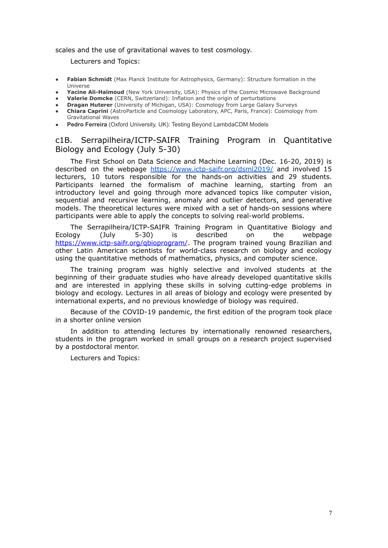scales and the use of gravitational waves to test cosmology.

Lecturers and Topics:

- **Fabian Schmidt** (Max Planck Institute for Astrophysics, Germany): Structure formation in the Universe
- Yacine Ali-Haïmoud (New York University, USA): Physics of the Cosmic Microwave Background
- **Valerie Domcke** (CERN, Switzerland): Inflation and the origin of perturbations
- **Dragan Huterer** (University of Michigan, USA): Cosmology from Large Galaxy Surveys
- **Chiara Caprini** (AstroParticle and Cosmology Laboratory, APC, Paris, France): Cosmology from Gravitational Waves
- **Pedro Ferreira** (Oxford University, UK): Testing Beyond LambdaCDM Models

### c1B. Serrapilheira/ICTP-SAIFR Training Program in Quantitative Biology and Ecology (July 5-30)

The First School on Data Science and Machine Learning (Dec. 16-20, 2019) is described on the webpage https://www.ictp-saifr.org/dsml2019/ and involved 15 lecturers, 10 tutors responsible for the hands-on activities and 29 students. Participants learned the formalism of machine learning, starting from an introductory level and going through more advanced topics like computer vision, sequential and recursive learning, anomaly and outlier detectors, and generative models. The theoretical lectures were mixed with a set of hands-on sessions where participants were able to apply the concepts to solving real-world problems.

The Serrapilheira/ICTP-SAIFR Training Program in Quantitative Biology and Ecology (July 5-30) is described on the webpage <https://www.ictp-saifr.org/qbioprogram/>. The program trained young Brazilian and other Latin American scientists for world-class research on biology and ecology using the quantitative methods of mathematics, physics, and computer science.

The training program was highly selective and involved students at the beginning of their graduate studies who have already developed quantitative skills and are interested in applying these skills in solving cutting-edge problems in biology and ecology. Lectures in all areas of biology and ecology were presented by international experts, and no previous knowledge of biology was required.

Because of the COVID-19 pandemic, the first edition of the program took place in a shorter online version

In addition to attending lectures by internationally renowned researchers, students in the program worked in small groups on a research project supervised by a postdoctoral mentor.

Lecturers and Topics: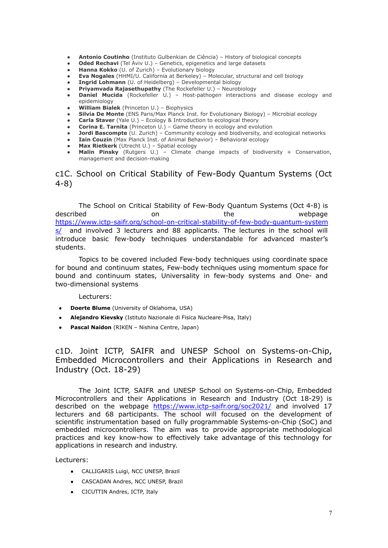- **Antonio Coutinho** (Instituto Gulbenkian de Ciência) History of biological concepts
- **● Oded Rechavi** (Tel Aviv U.) Genetics, epigenetics and large datasets
- **● Hanna Kokko** (U. of Zurich) Evolutionary biology
- **● Eva Nogales** (HHMI/U. California at Berkeley) Molecular, structural and cell biology
- **● Ingrid Lohmann** (U. of Heidelberg) Developmental biology
- **● Priyamvada Rajasethupathy** (The Rockefeller U.) Neurobiology
- **● Daniel Mucida** (Rockefeller U.) Host-pathogen interactions and disease ecology and epidemiology
- **● William Bialek** (Princeton U.) Biophysics
- **Silvia De Monte** (ENS Paris/Max Planck Inst. for Evolutionary Biology) Microbial ecology
- **Carla Staver** (Yale U.) Ecology & Introduction to ecological theory
- **Corina E. Tarnita** (Princeton U.) Game theory in ecology and evolution
- **Jordi Bascompte** (U. Zurich) Community ecology and biodiversity, and ecological networks
- **Iain Couzin** (Max Planck Inst. of Animal Behavior) Behavioral ecology
- **Max Rietkerk** (Utrecht U.) Spatial ecology
- **Malin Pinsky** (Rutgers U.) Climate change impacts of biodiversity + Conservation, management and decision-making

c1C. School on Critical Stability of Few-Body Quantum Systems (Oct 4-8)

The School on Critical Stability of Few-Body Quantum Systems (Oct 4-8) is described **on** on the webpage [https://www.ictp-saifr.org/school-on-critical-stability-of-few-body-quantum-system](https://www.ictp-saifr.org/school-on-critical-stability-of-few-body-quantum-systems/) [s/](https://www.ictp-saifr.org/school-on-critical-stability-of-few-body-quantum-systems/) and involved 3 lecturers and 88 applicants. The lectures in the school will introduce basic few-body techniques understandable for advanced master's students.

Topics to be covered included Few-body techniques using coordinate space for bound and continuum states, Few-body techniques using momentum space for bound and continuum states, Universality in few-body systems and One- and two-dimensional systems

Lecturers:

- **Doerte Blume** (University of Oklahoma, USA)
- **Alejandro Kievsky** (Istituto Nazionale di Fisica Nucleare-Pisa, Italy)
- **Pascal Naidon** (RIKEN Nishina Centre, Japan)

c1D. Joint ICTP, SAIFR and UNESP School on Systems-on-Chip, Embedded Microcontrollers and their Applications in Research and Industry (Oct. 18-29)

The Joint ICTP, SAIFR and UNESP School on Systems-on-Chip, Embedded Microcontrollers and their Applications in Research and Industry (Oct 18-29) is described on the webpage <https://www.ictp-saifr.org/soc2021/> and involved 17 lecturers and 68 participants. The school will focused on the development of scientific instrumentation based on fully programmable Systems-on-Chip (SoC) and embedded microcontrollers. The aim was to provide appropriate methodological practices and key know-how to effectively take advantage of this technology for applications in research and industry.

Lecturers:

- CALLIGARIS Luigi, NCC UNESP, Brazil
- CASCADAN Andres, NCC UNESP, Brazil
- CICUTTIN Andres, ICTP, Italy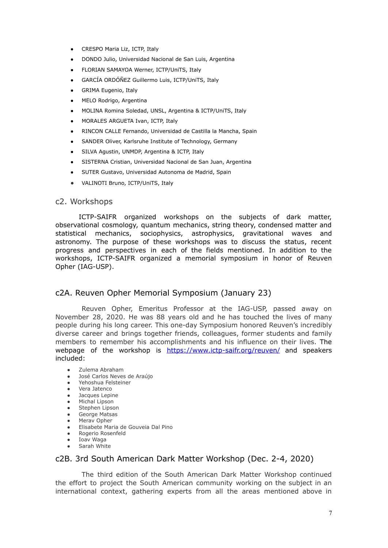- CRESPO Maria Liz, ICTP, Italy
- DONDO Julio, Universidad Nacional de San Luis, Argentina
- FLORIAN SAMAYOA Werner, ICTP/UniTS, Italy
- GARCÍA ORDÓÑEZ Guillermo Luis, ICTP/UniTS, Italy
- GRIMA Eugenio, Italy
- MELO Rodrigo, Argentina
- MOLINA Romina Soledad, UNSL, Argentina & ICTP/UniTS, Italy
- MORALES ARGUETA Ivan, ICTP, Italy
- RINCON CALLE Fernando, Universidad de Castilla la Mancha, Spain
- SANDER Oliver, Karlsruhe Institute of Technology, Germany
- SILVA Agustin, UNMDP, Argentina & ICTP, Italy
- SISTERNA Cristian, Universidad Nacional de San Juan, Argentina
- SUTER Gustavo, Universidad Autonoma de Madrid, Spain
- VALINOTI Bruno, ICTP/UniTS, Italy

#### c2. Workshops

ICTP-SAIFR organized workshops on the subjects of dark matter, observational cosmology, quantum mechanics, string theory, condensed matter and statistical mechanics, sociophysics, astrophysics, gravitational waves and astronomy. The purpose of these workshops was to discuss the status, recent progress and perspectives in each of the fields mentioned. In addition to the workshops, ICTP-SAIFR organized a memorial symposium in honor of Reuven Opher (IAG-USP).

### c2A. Reuven Opher Memorial Symposium (January 23)

Reuven Opher, Emeritus Professor at the IAG-USP, passed away on November 28, 2020. He was 88 years old and he has touched the lives of many people during his long career. This one-day Symposium honored Reuven's incredibly diverse career and brings together friends, colleagues, former students and family members to remember his accomplishments and his influence on their lives. The webpage of the workshop is <https://www.ictp-saifr.org/reuven/> and speakers included:

- Zulema Abraham
- José Carlos Neves de Araújo
- Yehoshua Felsteiner
- Vera Jatenco
- Jacques Lepine
- Michal Lipson • Stephen Lipson
- George Matsas
- Merav Opher
- Elisabete Maria de Gouveia Dal Pino
- Rogerio Rosenfeld
- Ioav Waga Sarah White

## c2B. 3rd South American Dark Matter Workshop (Dec. 2-4, 2020)

The third edition of the South American Dark Matter Workshop continued the effort to project the South American community working on the subject in an international context, gathering experts from all the areas mentioned above in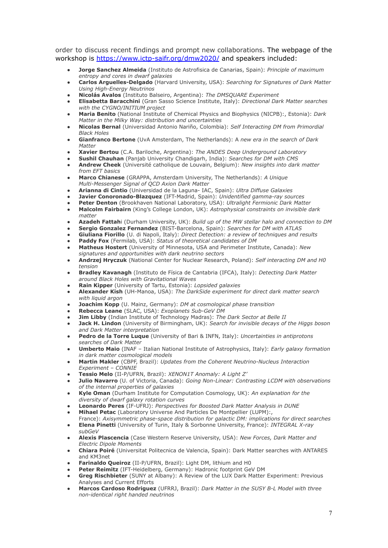order to discuss recent findings and prompt new collaborations. The webpage of the workshop is <https://www.ictp-saifr.org/dmw2020/> and speakers included:

- **Jorge Sanchez Almeida** (Instituto de Astrofisica de Canarias, Spain): *Principle of maximum entropy and cores in dwarf galaxies*
- **Carlos Arguelles-Delgado** (Harvard University, USA): *Searching for Signatures of Dark Matter Using High-Energy Neutrinos*
- **Nicolás Avalos** (Instituto Balseiro, Argentina): *The DMSQUARE Experiment*
- **Elisabetta Baracchini** (Gran Sasso Science Institute, Italy): *Directional Dark Matter searches with the CYGNO/INITIUM project*
- **Maria Benito** (National Institute of Chemical Physics and Biophysics (NICPB):, Estonia): *Dark Matter in the Milky Way: distribution and uncertainties*
- **Nicolas Bernal** (Universidad Antonio Nariño, Colombia): *Self Interacting DM from Primordial Black Holes*
- **Gianfranco Bertone** (UvA Amsterdam, The Netherlands): A *new era in the search of Dark Matter*
- **Xavier Bertou** (C.A. Bariloche, Argentina): *The ANDES Deep Underground Laboratory*
- **Sushil Chauhan** (Panjab University Chandigarh, India): *Searches for DM with CMS* ● **Andrew Cheek** (Université catholique de Louvain, Belgium): *New insights into dark matter*
- *from EFT basics* ● **Marco Chianese** (GRAPPA, Amsterdam University, The Netherlands): *A Unique Multi-Messenger Signal of QCD Axion Dark Matter*
- **Arianna di Cintio** (Universidad de la Laguna- IAC, Spain): *Ultra Diffuse Galaxies*
- **Javier Conoronado-Blazquez** (IFT-Madrid, Spain): *Unidentified gamma-ray sources*
- **Peter Denton** (Brookhaven National Laboratory, USA): *Ultralight Fermionic Dark Matter*
- **Malcolm Fairbairn** (King's College London, UK): *Astrophysical constraints on invisible dark matter*
- **Azadeh Fattah**i (Durham University, UK): *Build up of the MW stellar halo and connection to DM*
- **Sergio Gonzalez Fernandez** (BIST-Barcelona, Spain): *Searches for DM with ATLAS*
- **Giuliana Fiorillo** (U. di Napoli, Italy): *Direct Detection: a review of techniques and results* ● **Paddy Fox** (Fermilab, USA): *Status of theoretical candidates of DM*
- **Matheus Hostert** (University of Minnesota, USA and Perimeter Institute, Canada): *New signatures and opportunities with dark neutrino sectors*
- **Andrzej Hryczuk** (National Center for Nuclear Research, Poland): *Self interacting DM and H0 tension*
- **Bradley Kavanagh** (Instituto de Física de Cantabria (IFCA), Italy): *Detecting Dark Matter around Black Holes with Gravitational Waves*
- **Rain Kipper** (University of Tartu, Estonia): *Lopsided galaxies*
- **Alexander Kish** (UH-Manoa, USA): *The DarkSide experiment for direct dark matter search with liquid argon*
- **Joachim Kopp** (U. Mainz, Germany): *DM at cosmological phase transition*
- **Rebecca Leane** (SLAC, USA): *Exoplanets Sub-GeV DM*
- **Jim Libby** (Indian Institute of Technology Madras): *The Dark Sector at Belle II*
- **Jack H. Lindon** (University of Birmingham, UK): *Search for invisible decays of the Higgs boson and Dark Matter interpretation*
- **Pedro de la Torre Luque** (University of Bari & INFN, Italy): *Uncertainties in antiprotons searches of Dark Matter*
- **Umberto Maio** (INAF Italian National Institute of Astrophysics, Italy): *Early galaxy formation in dark matter cosmological models*
- **Martin Makler** (CBPF, Brazil): *Updates from the Coherent Neutrino-Nucleus Interaction Experiment – CONNIE*
- **Tessio Melo** (II-P/UFRN, Brazil): *XENON1T Anomaly: A Light Z'*
- **Julio Navarro** (U. of Victoria, Canada): *Going Non-Linear: Contrasting LCDM with observations of the internal properties of galaxies*
- **Kyle Oman** (Durham Institute for Computation Cosmology, UK): *An explanation for the diversity of dwarf galaxy rotation curves*
- **Leonardo Peres** (IF-UFRJ): *Perspectives for Boosted Dark Matter Analysis in DUNE*
- **Mihael Petac** (Laboratory Universe And Particles De Montpellier (LUPM):, France): *Axisymmetric phase-space distribution for galactic DM: implications for direct searches*
- **Elena Pinetti** (University of Turin, Italy & Sorbonne University, France): *INTEGRAL X-ray subGeV*
- **Alexis Plascencia** (Case Western Reserve University, USA): *New Forces, Dark Matter and Electric Dipole Moments*
- **Chiara Poiré** (Universitat Politecnica de Valencia, Spain): Dark Matter searches with ANTARES and KM3net
- **Farinaldo Queiroz** (II-P/UFRN, Brazil): Light DM, lithium and H0
- **Peter Reimitz** (IFT-Heidelberg, Germany): Hadronic footprint GeV DM
- **Greg Rischbieter** (SUNY at Albany): A Review of the LUX Dark Matter Experiment: Previous Analyses and Current Efforts
- **Marcos Cardoso Rodriguez** (UFRRJ, Brazil): *Dark Matter in the SUSY B-L Model with three non-identical right handed neutrinos*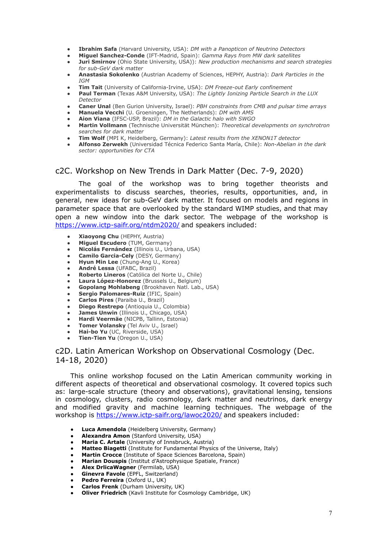- **Ibrahim Safa** (Harvard University, USA): *DM with a Panopticon of Neutrino Detectors*
- **Miguel Sanchez-Conde** (IFT-Madrid, Spain): *Gamma Rays from MW dark satellites*
- **Juri Smirnov** (Ohio State University, USA)): *New production mechanisms and search strategies for sub-GeV dark matter*
- **Anastasia Sokolenko** (Austrian Academy of Sciences, HEPHY, Austria): *Dark Particles in the IGM*
- **Tim Tait** (University of California-Irvine, USA): *DM Freeze-out Early confinement*
- **Paul Terman** (Texas A&M University, USA): *The Lightly Ionizing Particle Search in the LUX Detector*
- **Caner Unal** (Ben Gurion University, Israel): *PBH constraints from CMB and pulsar time arrays*
- **Manuela Vecchi** (U. Groeningen, The Netherlands): *DM with AMS*
- **Aion Viana** (IFSC-USP, Brazil): *DM in the Galactic halo with SWGO*
- **Martin Vollmann** (Technische Universität München): *Theoretical developments on synchrotron searches for dark matter*
- **Tim Wolf** (MPI K, Heidelberg, Germany): *Latest results from the XENON1T detector*
- **Alfonso Zerwekh** (Universidad Técnica Federico Santa María, Chile): *Non-Abelian in the dark sector: opportunities for CTA*

#### c2C. Workshop on New Trends in Dark Matter (Dec. 7-9, 2020)

The goal of the workshop was to bring together theorists and experimentalists to discuss searches, theories, results, opportunities, and, in general, new ideas for sub-GeV dark matter. It focused on models and regions in parameter space that are overlooked by the standard WIMP studies, and that may open a new window into the dark sector. The webpage of the workshop is <https://www.ictp-saifr.org/ntdm2020/> and speakers included:

- **Xiaoyong Chu** (HEPHY, Austria)
- **● Miguel Escudero** (TUM, Germany)
- **● Nicolás Fernández** (Illinois U., Urbana, USA)
- **● Camilo Garcia-Cely** (DESY, Germany)
- **● Hyun Min Lee** (Chung-Ang U., Korea)
- **● André Lessa** (UFABC, Brazil)
- **● Roberto Lineros** (Católica del Norte U., Chile)
- **Laura López-Honorez** (Brussels U., Belgium)
- **● Gopolang Mohlabeng** (Brookhaven Natl. Lab., USA)
- **● Sergio Palomares-Ruiz** (IFIC, Spain)
- **● Carlos Pires** (Paraiba U., Brazil)
- **Diego Restrepo** (Antioquia U., Colombia)
- **● James Unwin** (Illinois U., Chicago, USA)
- **● Hardi Veermäe** (NICPB, Tallinn, Estonia)
- **● Tomer Volansky** (Tel Aviv U., Israel)
- **● Hai-bo Yu** (UC, Riverside, USA)
- **● Tien-Tien Yu** (Oregon U., USA)

#### c2D. Latin American Workshop on Observational Cosmology (Dec. 14-18, 2020)

This online workshop focused on the Latin American community working in different aspects of theoretical and observational cosmology. It covered topics such as: large-scale structure (theory and observations), gravitational lensing, tensions in cosmology, clusters, radio cosmology, dark matter and neutrinos, dark energy and modified gravity and machine learning techniques. The webpage of the workshop is <https://www.ictp-saifr.org/lawoc2020/> and speakers included:

- **Luca Amendola** (Heidelberg University, Germany)
- **Alexandra Amon** (Stanford University, USA)
- **Maria C. Artale** (University of Innsbruck, Austria)
- **● Matteo Biagetti** (Institute for Fundamental Physics of the Universe, Italy)
- **Martin Crocce** (Institute of Space Sciences Barcelona, Spain)
- **Marian Douspis** (Institut d'Astrophysique Spatiale, France)
- **Alex DrlicaWagner** (Fermilab, USA)
- **Ginevra Favole** (EPFL, Switzerland)
- **● Pedro Ferreira** (Oxford U., UK)
- **● Carlos Frenk** (Durham University, UK)
- **Oliver Friedrich** (Kavli Institute for Cosmology Cambridge, UK)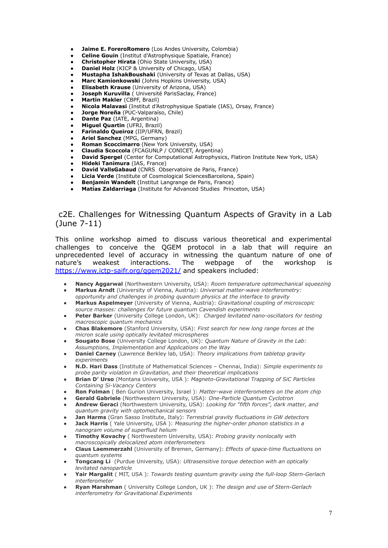- **Jaime E. ForeroRomero** (Los Andes University, Colombia)
- **Celine Gouin** (Institut d'Astrophysique Spatiale, France)
- **Christopher Hirata** (Ohio State University, USA)
- **Daniel Holz** (KICP & University of Chicago, USA)
- **● Mustapha IshakBoushaki** (University of Texas at Dallas, USA)
- **Marc Kamionkowski** (Johns Hopkins University, USA)
- **● Elisabeth Krause** (University of Arizona, USA)
- **Joseph Kuruvilla** ( Université ParisSaclay, France)
- **Martin Makler** (CBPF, Brazil)
- **● Nicola Malavasi** (Institut d'Astrophysique Spatiale (IAS), Orsay, France)
- **● Jorge Noreña** (PUC-Valparaíso, Chile)
- **Dante Paz** (IATE, Argentina)
- **● Miguel Quartin** (UFRJ, Brazil)
- **● Farinaldo Queiroz** (IIP/UFRN, Brazil)
- **Ariel Sanchez** (MPG, Germany)
- **Roman Scoccimarro** (New York University, USA) ● **Claudia Scoccola** (FCAGUNLP / CONICET, Argentina)
- **● David Spergel** (Center for Computational Astrophysics, Flatiron Institute New York, USA)
- **● Hideki Tanimura** (IAS, France)
- **David VallsGabaud** (CNRS Observatoire de Paris, France)
- **● Licia Verde** (Institute of Cosmological SciencesBarcelona, Spain)
- **Benjamin Wandelt** (Institut Langrange de Paris, France)
- **Matías Zaldarriaga** (Institute for Advanced Studies Princeton, USA)

### c2E. Challenges for Witnessing Quantum Aspects of Gravity in a Lab (June 7-11)

This online workshop aimed to discuss various theoretical and experimental challenges to conceive the QGEM protocol in a lab that will require an unprecedented level of accuracy in witnessing the quantum nature of one of nature's weakest interactions. The webpage of the workshop is <https://www.ictp-saifr.org/qgem2021/> and speakers included:

- **Nancy Aggarwal** (Northwestern University, USA): *Room temperature optomechanical squeezing* ● **Markus Arndt** (University of Vienna, Austria): *Universal matter-wave interferometry:*
- *opportunity and challenges in probing quantum physics at the interface to gravity* ● **Markus Aspelmeyer** (University of Vienna, Austria): *Gravitational coupling of microscopic source masses: challenges for future quantum Cavendish experiments*
- **Peter Barker** (University College London, UK): *Charged levitated nano-oscillators for testing macroscopic quantum mechanics*
- **Chas Blakemore** (Stanford University, USA): *First search for new long range forces at the micron scale using optically levitated microspheres*
- **Sougato Bose** (University College London, UK): *Quantum Nature of Gravity in the Lab: Assumptions, Implementation and Applications on the Way*
- **Daniel Carney** (Lawrence Berkley lab, USA): *Theory implications from tabletop gravity experiments*
- **N.D. Hari Dass** (Institute of Mathematical Sciences Chennai, India): *Simple experiments to probe parity violation in Gravitation, and their theoretical implications*
- **Brian D' Urso** (Montana University, USA ): *Magneto-Gravitational Trapping of SiC Particles Containing Si-Vacancy Centers*
- **Ron Folman** ( Ben Gurion University, Israel ): *Matter-wave interferometers on the atom chip*
- **Gerald Gabriele** (Northwestern University, USA): *One-Particle Quantum Cyclotron*
- **Andrew Geraci** (Northwestern University, USA): *Looking for "fifth forces", dark matter, and quantum gravity with optomechanical sensors*
- **Jan Harms** (Gran Sasso Institute, Italy): *Terrestrial gravity fluctuations in GW detectors*
- **Jack Harris** ( Yale University, USA ): *Measuring the higher-order phonon statistics in a nanogram volume of superfluid helium*
- **Timothy Kovachy** ( Northwestern University, USA): *Probing gravity nonlocally with macroscopically delocalized atom interferometers*
- **Claus Laemmerzahl** (University of Bremen, Germany): *Effects of space-time fluctuations on quantum systems*
- **Tongcang Li** (Purdue University, USA): *Ultrasensitive torque detection with an optically levitated nanoparticle*
- **Yair Margalit** ( MIT, USA ): *Towards testing quantum gravity using the full-loop Stern-Gerlach interferometer*
- **Ryan Marshman** ( University College London, UK ): *The design and use of Stern-Gerlach interferometry for Gravitational Experiments*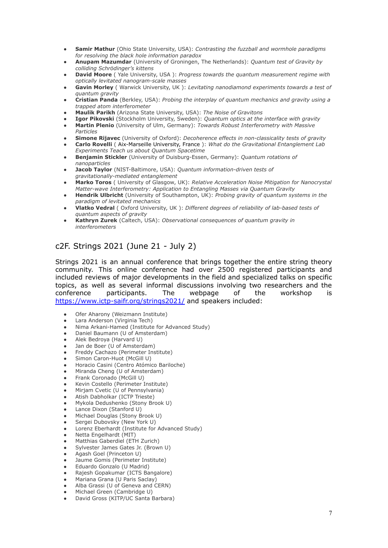- **Samir Mathur** (Ohio State University, USA): *Contrasting the fuzzball and wormhole paradigms for resolving the black hole information paradox*
- **Anupam Mazumdar** (University of Groningen, The Netherlands): *Quantum test of Gravity by colliding Schrödinger's kittens*
- **David Moore** ( Yale University, USA ): *Progress towards the quantum measurement regime with optically levitated nanogram-scale masses*
- **Gavin Morley** ( Warwick University, UK ): *Levitating nanodiamond experiments towards a test of quantum gravity*
- **Cristian Panda** (Berkley, USA): *Probing the interplay of quantum mechanics and gravity using a trapped atom interferometer*
- **Maulik Parikh** (Arizona State University, USA): *The Noise of Gravitons*
- **Igor Pikovski** (Stockholm University, Sweden): *Quantum optics at the interface with gravity*
- **Martin Plenio** (University of Ulm, Germany): *Towards Robust Interferometry with Massive Particles*
- **Simone Rijavec** (University of Oxford): *Decoherence effects in non-classicality tests of gravity* ● **Carlo Rovelli** ( Aix-Marseille University, France ): *What do the Gravitational Entanglement Lab*
- *Experiments Teach us about Quantum Spacetime* ● **Benjamin Stickler** (University of Duisburg-Essen, Germany): *Quantum rotations of nanoparticles*
- **Jacob Taylor** (NIST-Baltimore, USA): *Quantum information-driven tests of gravitationally-mediated entanglement*
- **Marko Toros** ( University of Glasgow, UK): *Relative Acceleration Noise Mitigation for Nanocrystal Matter-wave Interferometry: Application to Entangling Masses via Quantum Gravity*
- **Hendrik Ulbricht** (University of Southampton, UK): *Probing gravity of quantum systems in the paradigm of levitated mechanics*
- **Vlatko Vedral** ( Oxford University, UK ): *Different degrees of reliability of lab-based tests of quantum aspects of gravity*
- **Kathryn Zurek** (Caltech, USA): *Observational consequences of quantum gravity in interferometers*

## c2F. Strings 2021 (June 21 - July 2)

Strings 2021 is an annual conference that brings together the entire string theory community. This online conference had over 2500 registered participants and included reviews of major developments in the field and specialized talks on specific topics, as well as several informal discussions involving two researchers and the conference participants. The webpage of the workshop is <https://www.ictp-saifr.org/strings2021/> and speakers included:

- Ofer Aharony (Weizmann Institute)
- Lara Anderson (Virginia Tech)
- Nima Arkani-Hamed (Institute for Advanced Study)
- Daniel Baumann (U of Amsterdam)
- Alek Bedroya (Harvard U)
- Jan de Boer (U of Amsterdam)
- Freddy Cachazo (Perimeter Institute)
- Simon Caron-Huot (McGill U)
- Horacio Casini (Centro Atómico Bariloche)
- Miranda Cheng (U of Amsterdam)
- Frank Coronado (McGill U)
- Kevin Costello (Perimeter Institute)
- Mirjam Cvetic (U of Pennsylvania)
- Atish Dabholkar (ICTP Trieste)
- Mykola Dedushenko (Stony Brook U)
- Lance Dixon (Stanford U)
- Michael Douglas (Stony Brook U)
- Sergei Dubovsky (New York U)
- Lorenz Eberhardt (Institute for Advanced Study)
- Netta Engelhardt (MIT)
- Matthias Gaberdiel (ETH Zurich)
- Sylvester James Gates Jr. (Brown U)
- Agash Goel (Princeton U)
- Jaume Gomis (Perimeter Institute)
- Eduardo Gonzalo (U Madrid)
- Rajesh Gopakumar (ICTS Bangalore)
- Mariana Grana (U Paris Saclay)
- Alba Grassi (U of Geneva and CERN) Michael Green (Cambridge U)
- David Gross (KITP/UC Santa Barbara)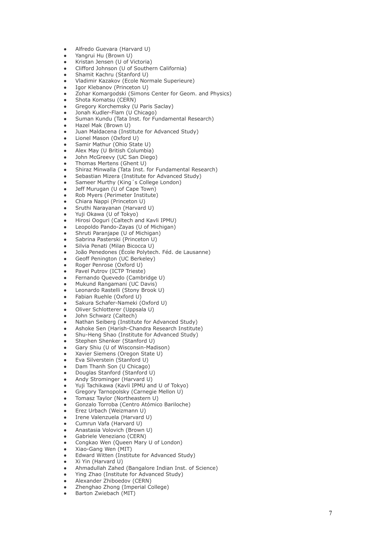- Alfredo Guevara (Harvard U)
- Yangrui Hu (Brown U)
- Kristan Jensen (U of Victoria)
- Clifford Johnson (U of Southern California)
- Shamit Kachru (Stanford U)
- Vladimir Kazakov (Ecole Normale Superieure)
- Igor Klebanov (Princeton U)
- Zohar Komargodski (Simons Center for Geom. and Physics)
- Shota Komatsu (CERN)
- Gregory Korchemsky (U Paris Saclay)
- Jonah Kudler-Flam (U Chicago)
- Suman Kundu (Tata Inst. for Fundamental Research)
- Hazel Mak (Brown U)
- Juan Maldacena (Institute for Advanced Study)
- Lionel Mason (Oxford U)
- Samir Mathur (Ohio State U)
- Alex May (U British Columbia)
- John McGreevy (UC San Diego)
- Thomas Mertens (Ghent U)
- Shiraz Minwalla (Tata Inst. for Fundamental Research)
- Sebastian Mizera (Institute for Advanced Study)
- Sameer Murthy (King's College London)
- Jeff Murugan (U of Cape Town)
- Rob Myers (Perimeter Institute)
- Chiara Nappi (Princeton U)
- Sruthi Narayanan (Harvard U)
- Yuji Okawa (U of Tokyo)
- Hirosi Ooguri (Caltech and Kavli IPMU)
- Leopoldo Pando-Zayas (U of Michigan)
- Shruti Paranjape (U of Michigan)
- Sabrina Pasterski (Princeton U)
- Silvia Penati (Milan Bicocca U)
- João Penedones (École Polytech. Féd. de Lausanne)
- Geoff Penington (UC Berkeley)
- Roger Penrose (Oxford U)
- Pavel Putrov (ICTP Trieste)
- Fernando Quevedo (Cambridge U)
- Mukund Rangamani (UC Davis)
- Leonardo Rastelli (Stony Brook U)
- Fabian Ruehle (Oxford U)
- Sakura Schafer-Nameki (Oxford U)
- Oliver Schlotterer (Uppsala U)
- John Schwarz (Caltech)
- Nathan Seiberg (Institute for Advanced Study)
- Ashoke Sen (Harish-Chandra Research Institute)
- Shu-Heng Shao (Institute for Advanced Study)
- Stephen Shenker (Stanford U)
- Gary Shiu (U of Wisconsin-Madison)
- Xavier Siemens (Oregon State U)
- Eva Silverstein (Stanford U)
- Dam Thanh Son (U Chicago)
- Douglas Stanford (Stanford U)
- Andy Strominger (Harvard U)
- Yuji Tachikawa (Kavli IPMU and U of Tokyo)
- Gregory Tarnopolsky (Carnegie Mellon U)
- Tomasz Taylor (Northeastern U)
- Gonzalo Torroba (Centro Atómico Bariloche)
- Erez Urbach (Weizmann U)
- Irene Valenzuela (Harvard U)
- Cumrun Vafa (Harvard U)
- Anastasia Volovich (Brown U)
- Gabriele Veneziano (CERN)
- Congkao Wen (Queen Mary U of London)
- Xiao-Gang Wen (MIT)
- Edward Witten (Institute for Advanced Study)
- Xi Yin (Harvard U)
- Ahmadullah Zahed (Bangalore Indian Inst. of Science)
- Ying Zhao (Institute for Advanced Study)
- Alexander Zhiboedov (CERN)
- Zhenghao Zhong (Imperial College)
- Barton Zwiebach (MIT)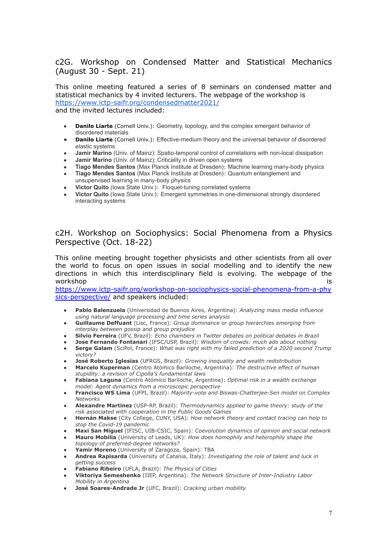### c2G. Workshop on Condensed Matter and Statistical Mechanics (August 30 - Sept. 21)

This online meeting featured a series of 8 seminars on condensed matter and statistical mechanics by 4 invited lecturers. The webpage of the workshop is <https://www.ictp-saifr.org/condensedmatter2021/>

and the invited lectures included:

- **Danilo Liarte** (Cornell Univ.): Geometry, topology, and the complex emergent behavior of disordered materials
- **● Danilo Liarte** (Cornell Univ.): Effective-medium theory and the universal behavior of disordered elastic systems
- **Jamir Marino** (Univ. of Mainz): Spatio-temporal control of correlations with non-local dissipation
- **Jamir Marino** (Univ. of Mainz): Criticality in driven open systems
- **Tiago Mendes Santos** (Max Planck Institute at Dresden): Machine learning many-body physics
- **Tiago Mendes Santos** (Max Planck Institute at Dresden): Quantum entanglement and unsupervised learning in many-body physics
- **Victor Quito** (Iowa State Univ.): Floquet-tuning correlated systems
- **Victor Quito** (Iowa State Univ.): Emergent symmetries in one-dimensional strongly disordered interacting systems

### c2H. Workshop on Sociophysics: Social Phenomena from a Physics Perspective (Oct. 18-22)

This online meeting brought together physicists and other scientists from all over the world to focus on open issues in social modelling and to identify the new directions in which this interdisciplinary field is evolving. The webpage of the workshop is a state of the state of the state of the state of the state of the state of the state of the state of the state of the state of the state of the state of the state of the state of the state of the state of the

[https://www.ictp-saifr.org/workshop-on-sociophysics-social-phenomena-from-a-phy](https://www.ictp-saifr.org/workshop-on-sociophysics-social-phenomena-from-a-physics-perspective/) [sics-perspective/](https://www.ictp-saifr.org/workshop-on-sociophysics-social-phenomena-from-a-physics-perspective/) and speakers included:

- **Pablo Balenzuela** (Universidad de Buenos Aires, Argentina): *Analyzing mass media influence using natural language processing and time series analysis*
- **Guillaume Deffuant** (Lisc, France): *Group dominance or group hierarchies emerging from interplay between gossip and group prejudice*
- **Silvio Ferreira** (UFV, Brazil): *Echo chambers in Twitter debates on political debates in Brazil*
- **Jose Fernando Fontanari** (IFSC/USP, Brazil): *Wisdom of crowds: much ado about nothing*
- **Serge Galam** (SciPol, France): *What was right with my failed prediction of a 2020 second Trump victory?*
- **José Roberto Iglesias** (UFRGS, Brazil): *Growing inequality and wealth redistribution*
- **Marcelo Kuperman** (Centro Atómico Bariloche, Argentina): *The destructive effect of human stupidity: a revision of Cipolla's fundamental laws*
- **Fabiana Laguna** (Centro Atómico Bariloche, Argentina): *Optimal risk in a wealth exchange model: Agent dynamics from a microscopic perspective*
- **Francisco WS Lima** (UFPI, Brazil): *Majority-vote and Biswas-Chatterjee-Sen model on Complex Networks*
- **Alexandre Martinez** (USP-RP, Brazil): *Thermodynamics applied to game theory: study of the risk associated with cooperation in the Public Goods Games*
- **Hernán Makse** (City College, CUNY, USA): *How network theory and contact tracing can help to stop the Covid-19 pandemic*
- **Maxi San Miguel** (IFISC, UIB-CSIC, Spain): *Coevolution dynamics of opinion and social network*
- **Mauro Mobilia** (University of Leeds, UK): *How does homophily and heterophily shape the topology of preferred-degree networks?*
- Yamir Moreno (University of Zaragoza, Spain): TBA
- **Andrea Rapisarda** (University of Catania, Italy): *Investigating the role of talent and luck in getting success*
- **Fabiano Ribeiro** (UFLA, Brazil): *The Physics of Cities*
- **Viktoriya Semeshenko** (IIEP, Argentina): *The Network Structure of Inter-Industry Labor Mobility in Argentina*
- **José Soares-Andrade Jr** (UFC, Brazil): *Cracking urban mobility*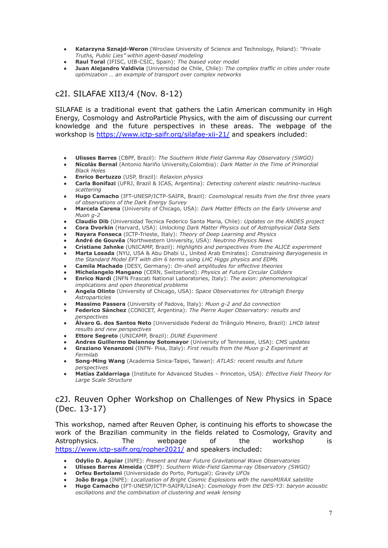- **Katarzyna Sznajd-Weron** (Wroclaw University of Science and Technology, Poland): *"Private Truths, Public Lies" within agent-based modeling*
- **Raul Toral** (IFISC, UIB-CSIC, Spain): *The biased voter model*
- **Juan Alejandro Valdivia** (Universidad de Chile, Chile): *The complex traffic in cities under route optimization … an example of transport over complex networks*

## c2I. SILAFAE XII3/4 (Nov. 8-12)

SILAFAE is a traditional event that gathers the Latin American community in High Energy, Cosmology and AstroParticle Physics, with the aim of discussing our current knowledge and the future perspectives in these areas. The webpage of the workshop is [https://www.ictp-saifr.org/silafae-xii-21/](https://www.ictp-saifr.org/silafae-xii-21/%20) and speakers included:

- **Ulisses Barres** (CBPF, Brazil): *The Southern Wide Field Gamma Ray Observatory (SWGO)*
- **Nicolás Bernal** (Antonio Nariño University,Colombia): *Dark Matter in the Time of Primordial Black Holes*
- **Enrico Bertuzzo** (USP, Brazil): *Relaxion physics*
- **Carla Bonifazi** (UFRJ, Brazil & ICAS, Argentina): *Detecting coherent elastic neutrino-nucleus scattering*
- **Hugo Camacho** (IFT-UNESP/ICTP-SAIFR, Brazil): *Cosmological results from the first three years of observations of the Dark Energy Survey*
- **Marcela Carena** (University of Chicago, USA): *Dark Matter Effects on the Early Universe and Muon g-2*
- **Claudio Dib** (Universidad Tecnica Federico Santa Maria, Chile): *Updates on the ANDES project*
- **Cora Dvorkin** (Harvard, USA): *Unlocking Dark Matter Physics out of Astrophysical Data Sets*
- **Nayara Fonseca** (ICTP-Trieste, Italy): *Theory of Deep Learning and Physics*
- **André de Gouvêa** (Northwestern University, USA): *Neutrino Physics News*
- **Cristiane Jahnke** (UNICAMP, Brazil): *Highlights and perspectives from the ALICE experiment*
- **Marta Losada** (NYU, USA & Abu Dhabi U., United Arab Emirates): *Constraining Baryogenesis in the Standard Model EFT with dim 6 terms using LHC Higgs physics and EDMs*
- **Camila Machado** (DESY, Germany): *On-shell amplitudes for effective theories*
- **Michelangelo Mangano** (CERN, Switzerland): *Physics at Future Circular Colliders*
- **Enrico Nardi** (INFN Frascati National Laboratories, Italy): *The axion: phenomenological implications and open theoretical problems*
- **Angela Olinto** (University of Chicago, USA): *Space Observatories for Ultrahigh Energy Astroparticles*
- **Massimo Passera** (University of Padova, Italy): *Muon g-2 and Δα connection*
- **Federico Sánchez** (CONICET, Argentina): *The Pierre Auger Observatory: results and perspectives*
- **Álvaro G. dos Santos Neto** (Universidade Federal do Triângulo Mineiro, Brazil): *LHCb latest results and new perspectives*
- **Ettore Segreto** (UNICAMP, Brazil): *DUNE Experiment*
- **Andres Guillermo Delannoy Sotomayor** (University of Tennessee, USA): *CMS updates*
- **Graziano Venanzoni** (INFN- Pisa, Italy): *First results from the Muon g-2 Experiment at Fermilab*
- **Song-Ming Wang** (Academia Sinica-Taipei, Taiwan): *ATLAS: recent results and future perspectives*
- **Matías Zaldarriaga** (Institute for Advanced Studies Princeton, USA): *Effective Field Theory for Large Scale Structure*

### c2J. Reuven Opher Workshop on Challenges of New Physics in Space (Dec. 13-17)

This workshop, named after Reuven Opher, is continuing his efforts to showcase the work of the Brazilian community in the fields related to Cosmology, Gravity and Astrophysics. The webpage of the workshop is <https://www.ictp-saifr.org/ropher2021/> and speakers included:

- **Odylio D. Aguiar** (INPE): *Present and Near Future Gravitational Wave Observatories*
- **Ulisses Barres Almeida** (CBPF): *Southern Wide-Field Gamma-ray Observatory (SWGO)*
- **Orfeu Bertolami** (Universidade do Porto, Portugal): *Gravity UFOs*
- **João Braga** (INPE): *Localization of Bright Cosmic Explosions with the nanoMIRAX satellite*
- **Hugo Camacho** (IFT-UNESP/ICTP-SAIFR/LIneA): *Cosmology from the DES-Y3: baryon acoustic oscillations and the combination of clustering and weak lensing*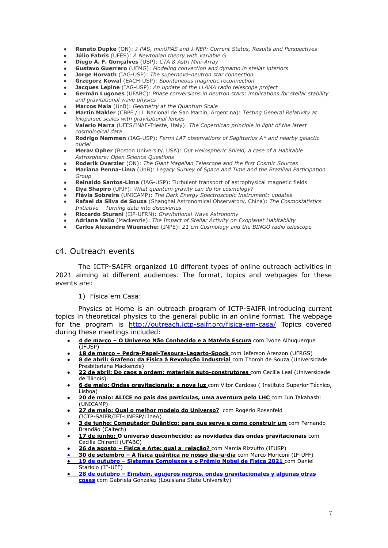- **Renato Dupke** (ON): *J-PAS, miniJPAS and J-NEP: Current Status, Results and Perspectives*
- **Júlio Fabris** (UFES): *A Newtonian theory with variable G* ● **Diego A. F. Gonçalves** (USP): *CTA & Astri Mini-Array*
- **Gustavo Guerrero** (UFMG): *Modeling convection and dynamo in stellar interiors*
- **Jorge Horvath** (IAG-USP): *The supernova-neutron star connection*
- **Grzegorz Kowal** (EACH-USP): *Spontaneous magnetic reconnection*
- **Jacques Lepine** (IAG-USP): *An update of the LLAMA radio telescope project*
- **Germán Lugones** (UFABC): *Phase conversions in neutron stars: implications for stellar stability and gravitational wave physics*
- **Marcos Maia** (UnB): *Geometry at the Quantum Scale*
- **Martin Makler** (CBPF / U. Nacional de San Martin, Argentina): *Testing General Relativity at kiloparsec scales with gravitational lenses*
- **Valerio Marra** (UFES/INAF-Trieste, Italy): *The Copernican principle in light of the latest cosmological data*
- **Rodrigo Nemmen** (IAG-USP): *Fermi LAT observations of Sagittarius A\* and nearby galactic nuclei*
- **Merav Opher** (Boston University, USA): *Out Heliospheric Shield, a case of a Habitable Astrosphere: Open Science Questions*
- **Roderik Overzier** (ON): *The Giant Magellan Telescope and the first Cosmic Sources*
- **Mariana Penna-Lima** (UnB): *Legacy Survey of Space and Time and the Brazilian Participation Group*
- **Reinaldo Santos-Lima** (IAG-USP): Turbulent transport of astrophysical magnetic fields
- **Ilya Shapiro** (UFJF): *What quantum gravity can do for cosmology?*
- **Flávia Sobreira** (UNICAMP): *The Dark Energy Spectroscopic Instrument: updates*
- **Rafael da Silva de Souza** (Shanghai Astronomical Observatory, China): *The Cosmostatistics Initiative – Turning data into discoveries*
- **Riccardo Sturani** (IIP-UFRN): *Gravitational Wave Astronomy*
- **Adriana Valio** (Mackenzie): *The Impact of Stellar Activity on Exoplanet Habitability*
- **Carlos Alexandre Wuensche:** (INPE): *21 cm Cosmology and the BINGO radio telescope*

#### c4. Outreach events

The ICTP-SAIFR organized 10 different types of online outreach activities in 2021 aiming at different audiences. The format, topics and webpages for these events are:

1) Física em Casa:

Physics at Home is an outreach program of ICTP-SAIFR introducing current topics in theoretical physics to the general public in an online format. The webpage for the program is http://outreach.ictp-saifr.org/fisica-em-casa/ Topics covered during these meetings included:

- **4 de março – O Universo Não [Conhecido](http://outreach.ictp-saifr.org/fisica-em-casa-marco21/) e a Matéria Escura** com Ivone Albuquerque (IFUSP)
- **18 de março – [Pedra-Papel-Tesoura-Lagarto-Spock](http://outreach.ictp-saifr.org/fisica-em-casa-marco21/)** com Jeferson Arenzon (UFRGS)
- **8 de abril: Grafeno: da Física à [Revolução](http://outreach.ictp-saifr.org/fisica-em-casa-abril21/) Industrial** com Thoroh de Souza (Universidade Presbiteriana Mackenzie)
- **22 de abril: Do caos a ordem: materiais [auto-construtores](http://outreach.ictp-saifr.org/fisica-em-casa-abril21/)** com Cecília Leal (Universidade de Illinois)
- **6 de maio: Ondas [gravitacionais:](http://outreach.ictp-saifr.org/fisica-em-casa-maio21/) a nova luz** com Vitor Cardoso ( Instituto Superior Técnico, Lisboa)
- **20 de maio: ALICE no país das [partículas,](http://outreach.ictp-saifr.org/fisica-em-casa/fisica-em-casa-maio-2021/) uma aventura pelo LHC** com Jun Takahashi (UNICAMP)
- **27 de maio: Qual o melhor modelo do [Universo?](http://outreach.ictp-saifr.org/fisica-em-casa-maio21/)** com Rogério Rosenfeld (ICTP-SAIFR/IFT-UNESP/LIneA)
- **3 de junho: [Computador](http://outreach.ictp-saifr.org/fisica-em-casa-junho21/) Quântico: para que serve e como construir um** com Fernando Brandão (Caltech)
- **17 de junho: O universo [desconhecido:](http://outreach.ictp-saifr.org/fisica-em-casa-junho21/) as novidades das ondas gravitacionais** com Cecília Chirenti (UFABC)
- **26 de agosto – Física e Arte: qual a [relação?](http://outreach.ictp-saifr.org/fisica-em-casa-agosto21/)** com Marcia Rizzutto (IFUSP)
- **30 de [setembro](http://outreach.ictp-saifr.org/fisica-em-casa-setembro21/) – A física quântica no nosso dia-a-dia** com Marco Moriconi (IF-UFF)
- **19 de outubro – Sistemas [Complexos](http://outreach.ictp-saifr.org/fisica-em-casa/) e o Prêmio Nobel de Física 2021** com Daniel Stariolo (IF-UFF)
- **28 de outubro – Einstein, agujeros negros, ondas [gravitacionales](http://outreach.ictp-saifr.org/fisica-em-casa/) y algunas otras [cosas](http://outreach.ictp-saifr.org/fisica-em-casa/)** com Gabriela González (Louisiana State University)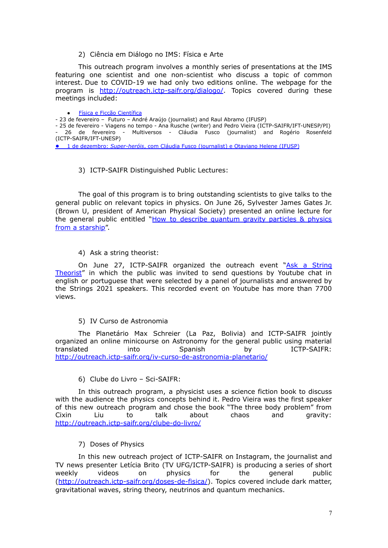#### 2) Ciência em Diálogo no IMS: Física e Arte

This outreach program involves a monthly series of presentations at the IMS featuring one scientist and one non-scientist who discuss a topic of common interest. Due to COVID-19 we had only two editions online. The webpage for the program is http://outreach.ictp-saifr.org/dialogo/. Topics covered during these meetings included:

#### **Física e Ficcão [Científica](http://outreach.ictp-saifr.org/dialogo2021a/)**

- 23 de fevereiro – Futuro – André Araújo (journalist) and Raul Abramo (IFUSP)

- 25 de fevereiro - Viagens no tempo - Ana Rusche (writer) and Pedro Vieira (ICTP-SAIFR/IFT-UNESP/PI) - 26 de fevereiro - Multiversos - Cláudia Fusco (journalist) and Rogério Rosenfeld (ICTP-SAIFR/IFT-UNESP)

● 1 de dezembro: *[Super-heróis](http://outreach.ictp-saifr.org/dialogo/)*, com Cláudia Fusco (journalist) e Otaviano Helene (IFUSP)

#### 3) ICTP-SAIFR Distinguished Public Lectures:

The goal of this program is to bring outstanding scientists to give talks to the general public on relevant topics in physics. On June 26, Sylvester James Gates Jr. (Brown U, president of American Physical Society) presented an online lecture for the general public entitled "How to describe [quantum](http://outreach.ictp-saifr.org/public-lectures/) gravity particles & physics from a [starship"](http://outreach.ictp-saifr.org/public-lectures/).

4) Ask a string theorist:

On June 27, ICTP-SAIFR organized the outreach event "Ask a [String](http://outreach.ictp-saifr.org/public-lectures/) [Theorist"](http://outreach.ictp-saifr.org/public-lectures/) in which the public was invited to send questions by Youtube chat in english or portuguese that were selected by a panel of journalists and answered by the Strings 2021 speakers. This recorded event on Youtube has more than 7700 views.

#### 5) IV Curso de Astronomia

The Planetário Max Schreier (La Paz, Bolivia) and ICTP-SAIFR jointly organized an online minicourse on Astronomy for the general public using material translated into Spanish by ICTP-SAIFR: <http://outreach.ictp-saifr.org/iv-curso-de-astronomia-planetario/>

6) Clube do Livro – Sci-SAIFR:

In this outreach program, a physicist uses a science fiction book to discuss with the audience the physics concepts behind it. Pedro Vieira was the first speaker of this new outreach program and chose the book "The three body problem" from Cixin Liu to talk about chaos and gravity: <http://outreach.ictp-saifr.org/clube-do-livro/>

7) Doses of Physics

In this new outreach project of ICTP-SAIFR on Instagram, the journalist and TV news presenter Letícia Brito (TV UFG/ICTP-SAIFR) is producing a series of short weekly videos on physics for the general public ([http://outreach.ictp-saifr.org/doses-de-fisica/\)](http://outreach.ictp-saifr.org/doses-de-fisica/). Topics covered include dark matter, gravitational waves, string theory, neutrinos and quantum mechanics.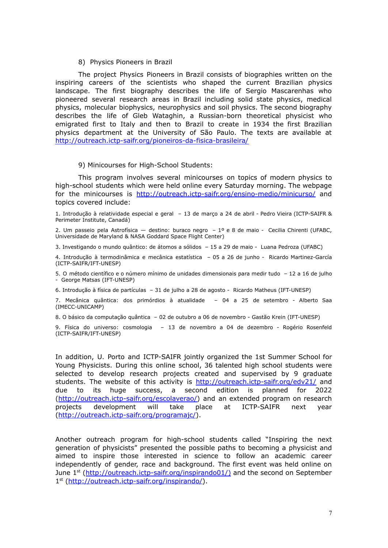#### 8) Physics Pioneers in Brazil

The project Physics Pioneers in Brazil consists of biographies written on the inspiring careers of the scientists who shaped the current Brazilian physics landscape. The first biography describes the life of Sergio Mascarenhas who pioneered several research areas in Brazil including solid state physics, medical physics, molecular biophysics, neurophysics and soil physics. The second biography describes the life of Gleb Wataghin, a Russian-born theoretical physicist who emigrated first to Italy and then to Brazil to create in 1934 the first Brazilian physics department at the University of São Paulo. The texts are available at <http://outreach.ictp-saifr.org/pioneiros-da-fisica-brasileira/>

#### 9) Minicourses for High-School Students:

This program involves several minicourses on topics of modern physics to high-school students which were held online every Saturday morning. The webpage for the minicourses is http://outreach.ictp-saifr.org/ensino-medio/minicurso/ and topics covered include:

1. Introdução à relatividade especial e geral – 13 de março a 24 de abril - Pedro Vieira (ICTP-SAIFR & Perimeter Institute, Canadá)

2. Um passeio pela Astrofísica — destino: buraco negro – 1º e 8 de maio - Cecilia Chirenti (UFABC, Universidade de Maryland & NASA Goddard Space Flight Center)

3. Investigando o mundo quântico: de átomos a sólidos – 15 a 29 de maio - Luana Pedroza (UFABC)

4. Introdução à termodinâmica e mecânica estatística – 05 a 26 de junho - Ricardo Martinez-García (ICTP-SAIFR/IFT-UNESP)

5. O método científico e o número mínimo de unidades dimensionais para medir tudo – 12 a 16 de julho - George Matsas (IFT-UNESP)

6. Introdução à física de partículas – 31 de julho a 28 de agosto - Ricardo Matheus (IFT-UNESP)

7. Mecânica quântica: dos primórdios à atualidade – 04 a 25 de setembro - Alberto Saa (IMECC-UNICAMP)

8. O básico da computação quântica – 02 de outubro a 06 de novembro - Gastão Krein (IFT-UNESP)

9. Física do universo: cosmologia – 13 de novembro a 04 de dezembro - Rogério Rosenfeld (ICTP-SAIFR/IFT-UNESP)

In addition, U. Porto and ICTP-SAIFR jointly organized the 1st Summer School for Young Physicists. During this online school, 36 talented high school students were selected to develop research projects created and supervised by 9 graduate students. The website of this activity is <http://outreach.ictp-saifr.org/edv21/> and due to its huge success, a second edition is planned for 2022 ([http://outreach.ictp-saifr.org/escolaverao/\)](http://outreach.ictp-saifr.org/escolaverao/) and an extended program on research projects development will take place at ICTP-SAIFR next year ([http://outreach.ictp-saifr.org/programajc/\)](http://outreach.ictp-saifr.org/programajc/).

Another outreach program for high-school students called "Inspiring the next generation of physicists" presented the possible paths to becoming a physicist and aimed to inspire those interested in science to follow an academic career independently of gender, race and background. The first event was held online on June 1<sup>st</sup> ([http://outreach.ictp-saifr.org/inspirando01/\)](http://outreach.ictp-saifr.org/inspirando01/)%20) and the second on September 1<sup>st</sup> ([http://outreach.ictp-saifr.org/inspirando/\)](http://outreach.ictp-saifr.org/inspirando/).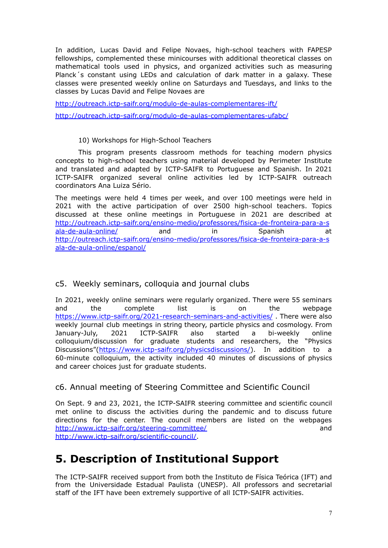In addition, Lucas David and Felipe Novaes, high-school teachers with FAPESP fellowships, complemented these minicourses with additional theoretical classes on mathematical tools used in physics, and organized activities such as measuring Planck´s constant using LEDs and calculation of dark matter in a galaxy. These classes were presented weekly online on Saturdays and Tuesdays, and links to the classes by Lucas David and Felipe Novaes are

<http://outreach.ictp-saifr.org/modulo-de-aulas-complementares-ift/> <http://outreach.ictp-saifr.org/modulo-de-aulas-complementares-ufabc/>

10) Workshops for High-School Teachers

This program presents classroom methods for teaching modern physics concepts to high-school teachers using material developed by Perimeter Institute and translated and adapted by ICTP-SAIFR to Portuguese and Spanish. In 2021 ICTP-SAIFR organized several online activities led by ICTP-SAIFR outreach coordinators Ana Luiza Sério.

The meetings were held 4 times per week, and over 100 meetings were held in 2021 with the active participation of over 2500 high-school teachers. Topics discussed at these online meetings in Portuguese in 2021 are described at [http://outreach.ictp-saifr.org/ensino-medio/professores/fisica-de-fronteira-para-a-s](http://outreach.ictp-saifr.org/ensino-medio/professores/fisica-de-fronteira-para-a-sala-de-aula-online/) [ala-de-aula-online/](http://outreach.ictp-saifr.org/ensino-medio/professores/fisica-de-fronteira-para-a-sala-de-aula-online/) and in Spanish at [http://outreach.ictp-saifr.org/ensino-medio/professores/fisica-de-fronteira-para-a-s](http://outreach.ictp-saifr.org/ensino-medio/professores/fisica-de-fronteira-para-a-sala-de-aula-online/espanol/) [ala-de-aula-online/espanol/](http://outreach.ictp-saifr.org/ensino-medio/professores/fisica-de-fronteira-para-a-sala-de-aula-online/espanol/)

## c5. Weekly seminars, colloquia and journal clubs

In 2021, weekly online seminars were regularly organized. There were 55 seminars and the complete list is on the webpage <https://www.ictp-saifr.org/2021-research-seminars-and-activities/> . There were also weekly journal club meetings in string theory, particle physics and cosmology. From January-July, 2021 ICTP-SAIFR also started a bi-weekly online colloquium/discussion for graduate students and researchers, the "Physics Discussions"[\(https://www.ictp-saifr.org/physicsdiscussions/\)](https://www.ictp-saifr.org/physicsdiscussions/). In addition to a 60-minute colloquium, the activity included 40 minutes of discussions of physics and career choices just for graduate students.

## c6. Annual meeting of Steering Committee and Scientific Council

On Sept. 9 and 23, 2021, the ICTP-SAIFR steering committee and scientific council met online to discuss the activities during the pandemic and to discuss future directions for the center. The council members are listed on the webpages http://www.ictp-saifr.org/steering-committee/ and http://www.ictp-saifr.org/scientific-council/.

## **5. Description of Institutional Support**

The ICTP-SAIFR received support from both the Instituto de Física Teórica (IFT) and from the Universidade Estadual Paulista (UNESP). All professors and secretarial staff of the IFT have been extremely supportive of all ICTP-SAIFR activities.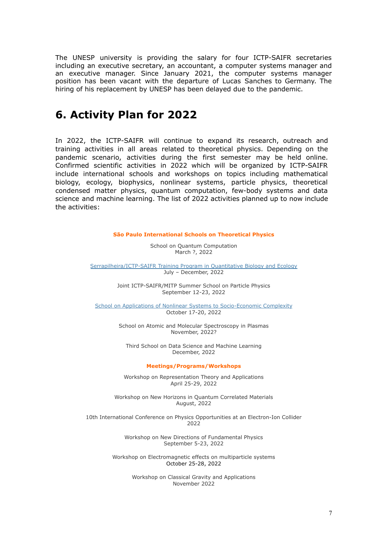The UNESP university is providing the salary for four ICTP-SAIFR secretaries including an executive secretary, an accountant, a computer systems manager and an executive manager. Since January 2021, the computer systems manager position has been vacant with the departure of Lucas Sanches to Germany. The hiring of his replacement by UNESP has been delayed due to the pandemic.

## **6. Activity Plan for 2022**

In 2022, the ICTP-SAIFR will continue to expand its research, outreach and training activities in all areas related to theoretical physics. Depending on the pandemic scenario, activities during the first semester may be held online. Confirmed scientific activities in 2022 which will be organized by ICTP-SAIFR include international schools and workshops on topics including mathematical biology, ecology, biophysics, nonlinear systems, particle physics, theoretical condensed matter physics, quantum computation, few-body systems and data science and machine learning. The list of 2022 activities planned up to now include the activities:

#### **São Paulo International Schools on Theoretical Physics**

School on Quantum Computation March ?, 2022

[Serrapilheira/ICTP-SAIFR](https://www.ictp-saifr.org/qbioprogram/) Training Program in Quantitative Biology and Ecology July – December, 2022

> Joint ICTP-SAIFR/MITP Summer School on Particle Physics September 12-23, 2022

School on Applications of Nonlinear Systems to [Socio-Economic](https://www.ictp-saifr.org/school-on-applications-of-nonlinear-systems-to-socio-economic-complexity/) Complexity October 17-20, 2022

> School on Atomic and Molecular Spectroscopy in Plasmas November, 2022?

Third School on Data Science and Machine Learning December, 2022

#### **Meetings/Programs/Workshops**

Workshop on Representation Theory and Applications April 25-29, 2022

Workshop on New Horizons in Quantum Correlated Materials August, 2022

10th International Conference on Physics Opportunities at an Electron-Ion Collider 2022

> Workshop on New Directions of Fundamental Physics September 5-23, 2022

Workshop on Electromagnetic effects on multiparticle systems October 25-28, 2022

> Workshop on Classical Gravity and Applications November 2022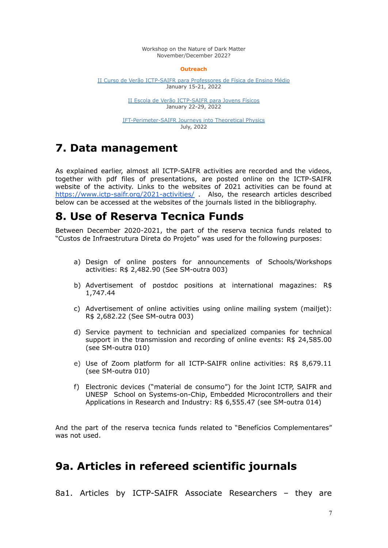Workshop on the Nature of Dark Matter November/December 2022?

#### **Outreach**

II Curso de Verão [ICTP-SAIFR](http://outreach.ictp-saifr.org/cursoveraoprofessores/) para Professores de Física de Ensino Médio January 15-21, 2022

> II Escola de Verão [ICTP-SAIFR](http://outreach.ictp-saifr.org/escolaverao/) para Jovens Físicos January 22-29, 2022

[IFT-Perimeter-SAIFR](http://journeys.ictp-saifr.org/) Journeys into Theoretical Physics July, 2022

## **7. Data management**

As explained earlier, almost all ICTP-SAIFR activities are recorded and the videos, together with pdf files of presentations, are posted online on the ICTP-SAIFR website of the activity. Links to the websites of 2021 activities can be found at <https://www.ictp-saifr.org/2021-activities/> . Also, the research articles described below can be accessed at the websites of the journals listed in the bibliography.

## **8. Use of Reserva Tecnica Funds**

Between December 2020-2021, the part of the reserva tecnica funds related to "Custos de Infraestrutura Direta do Projeto" was used for the following purposes:

- a) Design of online posters for announcements of Schools/Workshops activities: R\$ 2,482.90 (See SM-outra 003)
- b) Advertisement of postdoc positions at international magazines: R\$ 1,747.44
- c) Advertisement of online activities using online mailing system (mailjet): R\$ 2,682.22 (See SM-outra 003)
- d) Service payment to technician and specialized companies for technical support in the transmission and recording of online events: R\$ 24,585.00 (see SM-outra 010)
- e) Use of Zoom platform for all ICTP-SAIFR online activities: R\$ 8,679.11 (see SM-outra 010)
- f) Electronic devices ("material de consumo") for the Joint ICTP, [SAIFR](https://www.ictp-saifr.org/soc2021/) and UNESP School on [Systems-on-Chip,](https://www.ictp-saifr.org/soc2021/) Embedded Microcontrollers and their [Applications](https://www.ictp-saifr.org/soc2021/) in Research and Industry: R\$ 6,555.47 (see SM-outra 014)

And the part of the reserva tecnica funds related to "Benefícios Complementares" was not used.

## **9a. Articles in refereed scientific journals**

8a1. Articles by ICTP-SAIFR Associate Researchers – they are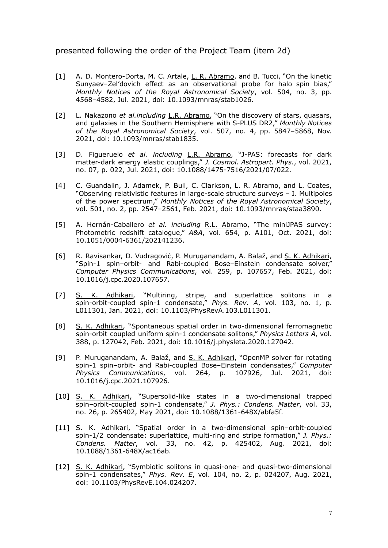#### presented following the order of the Project Team (item 2d)

- [1] A. D. Montero-Dorta, M. C. Artale, L. R. Abramo, and B. Tucci, "On the kinetic Sunyaev–Zel'dovich effect as an observational probe for halo spin bias," *Monthly Notices of the Royal Astronomical Society*, vol. 504, no. 3, pp. 4568–4582, Jul. 2021, doi: 10.1093/mnras/stab1026.
- [2] L. Nakazono *et al.including* L.R. Abramo, "On the discovery of stars, quasars, and galaxies in the Southern Hemisphere with S-PLUS DR2," *Monthly Notices of the Royal Astronomical Society*, vol. 507, no. 4, pp. 5847–5868, Nov. 2021, doi: 10.1093/mnras/stab1835.
- [3] D. Figueruelo *et al. including* L.R. Abramo, "J-PAS: forecasts for dark matter-dark energy elastic couplings," *J. Cosmol. Astropart. Phys.*, vol. 2021, no. 07, p. 022, Jul. 2021, doi: 10.1088/1475-7516/2021/07/022.
- [4] C. Guandalin, J. Adamek, P. Bull, C. Clarkson, L. R. Abramo, and L. Coates, "Observing relativistic features in large-scale structure surveys – I. Multipoles of the power spectrum," *Monthly Notices of the Royal Astronomical Society*, vol. 501, no. 2, pp. 2547–2561, Feb. 2021, doi: 10.1093/mnras/staa3890.
- [5] A. Hernán-Caballero *et al. including* R.L. Abramo, "The miniJPAS survey: Photometric redshift catalogue," *A&A*, vol. 654, p. A101, Oct. 2021, doi: 10.1051/0004-6361/202141236.
- [6] R. Ravisankar, D. Vudragović, P. Muruganandam, A. Balaž, and S. K. Adhikari, "Spin-1 spin–orbit- and Rabi-coupled Bose–Einstein condensate solver," *Computer Physics Communications*, vol. 259, p. 107657, Feb. 2021, doi: 10.1016/j.cpc.2020.107657.
- [7] S. K. Adhikari, "Multiring, stripe, and superlattice solitons in a spin-orbit-coupled spin-1 condensate," *Phys. Rev. A*, vol. 103, no. 1, p. L011301, Jan. 2021, doi: 10.1103/PhysRevA.103.L011301.
- [8] S. K. Adhikari, "Spontaneous spatial order in two-dimensional ferromagnetic spin-orbit coupled uniform spin-1 condensate solitons," *Physics Letters A*, vol. 388, p. 127042, Feb. 2021, doi: 10.1016/j.physleta.2020.127042.
- [9] P. Muruganandam, A. Balaž, and S. K. Adhikari, "OpenMP solver for rotating spin-1 spin–orbit- and Rabi-coupled Bose–Einstein condensates," *Computer Physics Communications*, vol. 264, p. 107926, Jul. 2021, doi: 10.1016/j.cpc.2021.107926.
- [10] S. K. Adhikari, "Supersolid-like states in a two-dimensional trapped spin–orbit-coupled spin-1 condensate," *J. Phys.: Condens. Matter*, vol. 33, no. 26, p. 265402, May 2021, doi: 10.1088/1361-648X/abfa5f.
- [11] S. K. Adhikari, "Spatial order in a two-dimensional spin–orbit-coupled spin-1/2 condensate: superlattice, multi-ring and stripe formation," *J. Phys.: Condens. Matter*, vol. 33, no. 42, p. 425402, Aug. 2021, doi: 10.1088/1361-648X/ac16ab.
- [12] S. K. Adhikari, "Symbiotic solitons in quasi-one- and quasi-two-dimensional spin-1 condensates," *Phys. Rev. E*, vol. 104, no. 2, p. 024207, Aug. 2021, doi: 10.1103/PhysRevE.104.024207.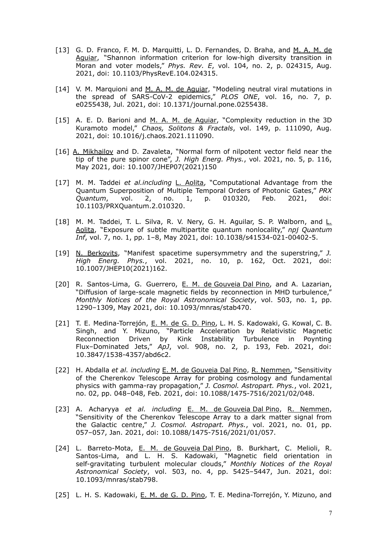- [13] G. D. Franco, F. M. D. Marquitti, L. D. Fernandes, D. Braha, and M. A. M. de Aguiar, "Shannon information criterion for low-high diversity transition in Moran and voter models," *Phys. Rev. E*, vol. 104, no. 2, p. 024315, Aug. 2021, doi: 10.1103/PhysRevE.104.024315.
- [14] V. M. Marquioni and M. A. M. de Aquiar, "Modeling neutral viral mutations in the spread of SARS-CoV-2 epidemics," *PLOS ONE*, vol. 16, no. 7, p. e0255438, Jul. 2021, doi: 10.1371/journal.pone.0255438.
- [15] A. E. D. Barioni and M. A. M. de Aquiar, "Complexity reduction in the 3D Kuramoto model," *Chaos, Solitons & Fractals*, vol. 149, p. 111090, Aug. 2021, doi: 10.1016/j.chaos.2021.111090.
- [16] A. Mikhailov and D. Zavaleta, "Normal form of nilpotent vector field near the tip of the pure spinor cone", *J. High Energ. Phys.*, vol. 2021, no. 5, p. 116, May 2021, doi: 10.1007/JHEP07(2021)150
- [17] M. M. Taddei *et al.including* L. Aolita, "Computational Advantage from the Quantum Superposition of Multiple Temporal Orders of Photonic Gates," *PRX Quantum*, vol. 2, no. 1, p. 010320, Feb. 2021, doi: 10.1103/PRXQuantum.2.010320.
- [18] M. M. Taddei, T. L. Silva, R. V. Nery, G. H. Aguilar, S. P. Walborn, and L. Aolita, "Exposure of subtle multipartite quantum nonlocality," *npj Quantum Inf*, vol. 7, no. 1, pp. 1–8, May 2021, doi: 10.1038/s41534-021-00402-5.
- [19] N. Berkovits, "Manifest spacetime supersymmetry and the superstring," *J. High Energ. Phys.*, vol. 2021, no. 10, p. 162, Oct. 2021, doi: 10.1007/JHEP10(2021)162.
- [20] R. Santos-Lima, G. Guerrero, E. M. de Gouveia Dal Pino, and A. Lazarian, "Diffusion of large-scale magnetic fields by reconnection in MHD turbulence," *Monthly Notices of the Royal Astronomical Society*, vol. 503, no. 1, pp. 1290–1309, May 2021, doi: 10.1093/mnras/stab470.
- [21] T. E. Medina-Torrejón, E. M. de G. D. Pino, L. H. S. Kadowaki, G. Kowal, C. B. Singh, and Y. Mizuno, "Particle Acceleration by Relativistic Magnetic Reconnection Driven by Kink Instability Turbulence in Poynting Flux–Dominated Jets," *ApJ*, vol. 908, no. 2, p. 193, Feb. 2021, doi: 10.3847/1538-4357/abd6c2.
- [22] H. Abdalla *et al. including* E. M. de Gouveia Dal Pino, R. Nemmen, "Sensitivity of the Cherenkov Telescope Array for probing cosmology and fundamental physics with gamma-ray propagation," *J. Cosmol. Astropart. Phys.*, vol. 2021, no. 02, pp. 048–048, Feb. 2021, doi: 10.1088/1475-7516/2021/02/048.
- [23] A. Acharyya *et al. including* E. M. de Gouveia Dal Pino, R. Nemmen, "Sensitivity of the Cherenkov Telescope Array to a dark matter signal from the Galactic centre," *J. Cosmol. Astropart. Phys.*, vol. 2021, no. 01, pp. 057–057, Jan. 2021, doi: 10.1088/1475-7516/2021/01/057.
- [24] L. Barreto-Mota, E. M. de Gouveia Dal Pino, B. Burkhart, C. Melioli, R. Santos-Lima, and L. H. S. Kadowaki, "Magnetic field orientation in self-gravitating turbulent molecular clouds," *Monthly Notices of the Royal Astronomical Society*, vol. 503, no. 4, pp. 5425–5447, Jun. 2021, doi: 10.1093/mnras/stab798.
- [25] L. H. S. Kadowaki, E. M. de G. D. Pino, T. E. Medina-Torrejón, Y. Mizuno, and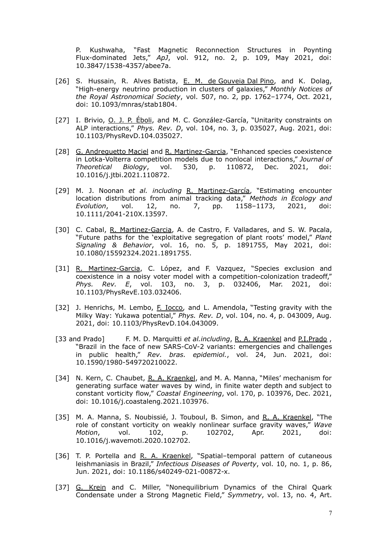P. Kushwaha, "Fast Magnetic Reconnection Structures in Poynting Flux-dominated Jets," *ApJ*, vol. 912, no. 2, p. 109, May 2021, doi: 10.3847/1538-4357/abee7a.

- [26] S. Hussain, R. Alves Batista, E. M. de Gouveia Dal Pino, and K. Dolag, "High-energy neutrino production in clusters of galaxies," *Monthly Notices of the Royal Astronomical Society*, vol. 507, no. 2, pp. 1762–1774, Oct. 2021, doi: 10.1093/mnras/stab1804.
- [27] I. Brivio, O. J. P. Éboli, and M. C. González-García, "Unitarity constraints on ALP interactions," *Phys. Rev. D*, vol. 104, no. 3, p. 035027, Aug. 2021, doi: 10.1103/PhysRevD.104.035027.
- [28] G. Andreguetto Maciel and R. Martinez-Garcia, "Enhanced species coexistence in Lotka-Volterra competition models due to nonlocal interactions," *Journal of Theoretical Biology*, vol. 530, p. 110872, Dec. 2021, doi: 10.1016/j.jtbi.2021.110872.
- [29] M. J. Noonan *et al. including* R. Martinez-García, "Estimating encounter location distributions from animal tracking data," *Methods in Ecology and Evolution*, vol. 12, no. 7, pp. 1158–1173, 2021, doi: 10.1111/2041-210X.13597.
- [30] C. Cabal, R. Martinez-Garcia, A. de Castro, F. Valladares, and S. W. Pacala, "Future paths for the 'exploitative segregation of plant roots' model," *Plant Signaling & Behavior*, vol. 16, no. 5, p. 1891755, May 2021, doi: 10.1080/15592324.2021.1891755.
- [31] R. Martinez-Garcia, C. López, and F. Vazquez, "Species exclusion and coexistence in a noisy voter model with a competition-colonization tradeoff," *Phys. Rev. E*, vol. 103, no. 3, p. 032406, Mar. 2021, doi: 10.1103/PhysRevE.103.032406.
- [32] J. Henrichs, M. Lembo, F. Iocco, and L. Amendola, "Testing gravity with the Milky Way: Yukawa potential," *Phys. Rev. D*, vol. 104, no. 4, p. 043009, Aug. 2021, doi: 10.1103/PhysRevD.104.043009.
- [33 and Prado] F. M. D. Marquitti *et al.including*, R. A. Kraenkel and P.I.Prado, "Brazil in the face of new SARS-CoV-2 variants: emergencies and challenges in public health," *Rev. bras. epidemiol.*, vol. 24, Jun. 2021, doi: 10.1590/1980-549720210022.
- [34] N. Kern, C. Chaubet, R. A. Kraenkel, and M. A. Manna, "Miles' mechanism for generating surface water waves by wind, in finite water depth and subject to constant vorticity flow," *Coastal Engineering*, vol. 170, p. 103976, Dec. 2021, doi: 10.1016/j.coastaleng.2021.103976.
- [35] M. A. Manna, S. Noubissié, J. Touboul, B. Simon, and R. A. Kraenkel, "The role of constant vorticity on weakly nonlinear surface gravity waves," *Wave Motion*, vol. 102, p. 102702, Apr. 2021, doi: 10.1016/j.wavemoti.2020.102702.
- [36] T. P. Portella and R. A. Kraenkel, "Spatial-temporal pattern of cutaneous leishmaniasis in Brazil," *Infectious Diseases of Poverty*, vol. 10, no. 1, p. 86, Jun. 2021, doi: 10.1186/s40249-021-00872-x.
- [37] G. Krein and C. Miller, "Nonequilibrium Dynamics of the Chiral Quark Condensate under a Strong Magnetic Field," *Symmetry*, vol. 13, no. 4, Art.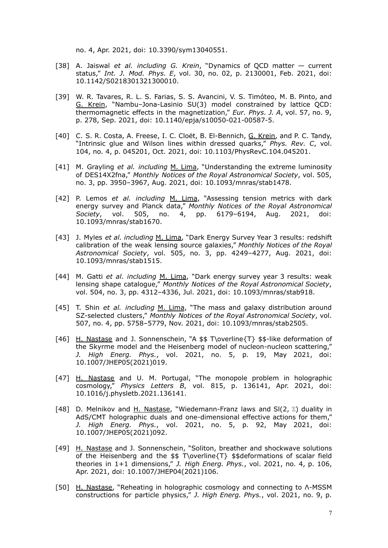no. 4, Apr. 2021, doi: 10.3390/sym13040551.

- [38] A. Jaiswal *et al. including G. Krein*, "Dynamics of QCD matter current status," *Int. J. Mod. Phys. E*, vol. 30, no. 02, p. 2130001, Feb. 2021, doi: 10.1142/S0218301321300010.
- [39] W. R. Tavares, R. L. S. Farias, S. S. Avancini, V. S. Timóteo, M. B. Pinto, and G. Krein, "Nambu–Jona-Lasinio SU(3) model constrained by lattice QCD: thermomagnetic effects in the magnetization," *Eur. Phys. J. A*, vol. 57, no. 9, p. 278, Sep. 2021, doi: 10.1140/epja/s10050-021-00587-5.
- [40] C. S. R. Costa, A. Freese, I. C. Cloët, B. El-Bennich, G. Krein, and P. C. Tandy, "Intrinsic glue and Wilson lines within dressed quarks," *Phys. Rev. C*, vol. 104, no. 4, p. 045201, Oct. 2021, doi: 10.1103/PhysRevC.104.045201.
- [41] M. Grayling *et al. including* M. Lima, "Understanding the extreme luminosity of DES14X2fna," *Monthly Notices of the Royal Astronomical Society*, vol. 505, no. 3, pp. 3950–3967, Aug. 2021, doi: 10.1093/mnras/stab1478.
- [42] P. Lemos *et al. including* M. Lima, "Assessing tension metrics with dark energy survey and Planck data," *Monthly Notices of the Royal Astronomical Society*, vol. 505, no. 4, pp. 6179–6194, Aug. 2021, doi: 10.1093/mnras/stab1670.
- [43] J. Myles *et al. including* M. Lima, "Dark Energy Survey Year 3 results: redshift calibration of the weak lensing source galaxies," *Monthly Notices of the Royal Astronomical Society*, vol. 505, no. 3, pp. 4249–4277, Aug. 2021, doi: 10.1093/mnras/stab1515.
- [44] M. Gatti *et al. including* M. Lima, "Dark energy survey year 3 results: weak lensing shape catalogue," *Monthly Notices of the Royal Astronomical Society*, vol. 504, no. 3, pp. 4312–4336, Jul. 2021, doi: 10.1093/mnras/stab918.
- [45] T. Shin *et al. including* M. Lima, "The mass and galaxy distribution around SZ-selected clusters," *Monthly Notices of the Royal Astronomical Society*, vol. 507, no. 4, pp. 5758–5779, Nov. 2021, doi: 10.1093/mnras/stab2505.
- [46] H. Nastase and J. Sonnenschein, "A \$\$ T\overline{T} \$\$-like deformation of the Skyrme model and the Heisenberg model of nucleon-nucleon scattering," *J. High Energ. Phys.*, vol. 2021, no. 5, p. 19, May 2021, doi: 10.1007/JHEP05(2021)019.
- [47] H. Nastase and U. M. Portugal, "The monopole problem in holographic cosmology," *Physics Letters B*, vol. 815, p. 136141, Apr. 2021, doi: 10.1016/j.physletb.2021.136141.
- [48] D. Melnikov and H. Nastase, "Wiedemann-Franz laws and SI(2,  $\mathbb{Z}$ ) duality in AdS/CMT holographic duals and one-dimensional effective actions for them," *J. High Energ. Phys.*, vol. 2021, no. 5, p. 92, May 2021, doi: 10.1007/JHEP05(2021)092.
- [49] H. Nastase and J. Sonnenschein, "Soliton, breather and shockwave solutions of the Heisenberg and the \$\$ T\overline{T} \$\$deformations of scalar field theories in 1+1 dimensions," *J. High Energ. Phys.*, vol. 2021, no. 4, p. 106, Apr. 2021, doi: 10.1007/JHEP04(2021)106.
- [50] H. Nastase, "Reheating in holographic cosmology and connecting to Λ-MSSM constructions for particle physics," *J. High Energ. Phys.*, vol. 2021, no. 9, p.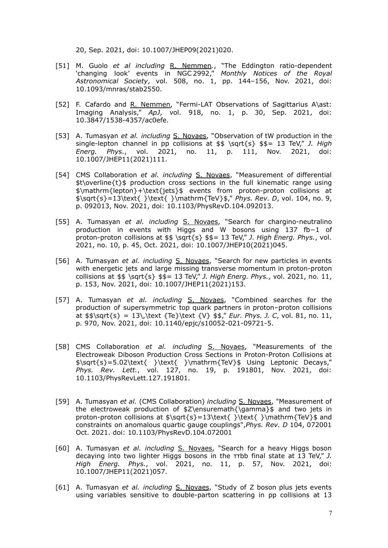20, Sep. 2021, doi: 10.1007/JHEP09(2021)020.

- [51] M. Guolo *et al including* R. Nemmen*.*, "The Eddington ratio-dependent 'changing look' events in NGC 2992," *Monthly Notices of the Royal Astronomical Society*, vol. 508, no. 1, pp. 144–156, Nov. 2021, doi: 10.1093/mnras/stab2550.
- [52] F. Cafardo and R. Nemmen, "Fermi-LAT Observations of Sagittarius A\ast: Imaging Analysis," *ApJ*, vol. 918, no. 1, p. 30, Sep. 2021, doi: 10.3847/1538-4357/ac0efe.
- [53] A. Tumasyan *et al. including* S. Novaes, "Observation of tW production in the single-lepton channel in pp collisions at \$\$ \sqrt{s} \$\$= 13 TeV," *J. High Energ. Phys.*, vol. 2021, no. 11, p. 111, Nov. 2021, doi: 10.1007/JHEP11(2021)111.
- [54] CMS Collaboration *et al. including* S. Novaes, "Measurement of differential  $st\overline{s}$  overline{t}\$ production cross sections in the full kinematic range using \$\mathrm{lepton}+\text{jets}\$ events from proton-proton collisions at \$\sqrt{s}=13\text{ }\text{ }\mathrm{TeV}\$," *Phys. Rev. D*, vol. 104, no. 9, p. 092013, Nov. 2021, doi: 10.1103/PhysRevD.104.092013.
- [55] A. Tumasyan *et al. including* S. Novaes, "Search for chargino-neutralino production in events with Higgs and W bosons using 137 fb−1 of proton-proton collisions at \$\$ \sqrt{s} \$\$= 13 TeV," *J. High Energ. Phys.*, vol. 2021, no. 10, p. 45, Oct. 2021, doi: 10.1007/JHEP10(2021)045.
- [56] A. Tumasyan *et al. including* S. Novaes, "Search for new particles in events with energetic jets and large missing transverse momentum in proton-proton collisions at \$\$ \sqrt{s} \$\$= 13 TeV," *J. High Energ. Phys.*, vol. 2021, no. 11, p. 153, Nov. 2021, doi: 10.1007/JHEP11(2021)153.
- [57] A. Tumasyan *et al. including* S. Novaes, "Combined searches for the production of supersymmetric top quark partners in proton–proton collisions at  $\sqrt{s} = 13\,\text{TeV}$   $\sqrt{V}$   $\frac{s}{r}$  *Eur. Phys. J. C.* vol. 81, no. 11, p. 970, Nov. 2021, doi: 10.1140/epjc/s10052-021-09721-5.
- [58] CMS Collaboration *et al. including* S. Novaes, "Measurements of the Electroweak Diboson Production Cross Sections in Proton-Proton Collisions at \$\sqrt{s}=5.02\text{ }\text{ }\mathrm{TeV}\$ Using Leptonic Decays," *Phys. Rev. Lett.*, vol. 127, no. 19, p. 191801, Nov. 2021, doi: 10.1103/PhysRevLett.127.191801.
- [59] A. Tumasyan *et al.* (CMS Collaboration) *including* S. Novaes, "Measurement of the electroweak production of \$Z\ensuremath{\gamma}\$ and two jets in proton-proton collisions at  $\sqrt{s} = 13\text{ } \text{ } \mathrm{TeV}$  and constraints on anomalous quartic gauge couplings",*Phys. Rev. D* 104, 072001 Oct. 2021. doi: 10.1103/PhysRevD.104.072001
- [60] A. Tumasyan *et al. including* S. Novaes, "Search for a heavy Higgs boson decaying into two lighter Higgs bosons in the ττbb final state at 13 TeV," *J. High Energ. Phys.*, vol. 2021, no. 11, p. 57, Nov. 2021, doi: 10.1007/JHEP11(2021)057.
- [61] A. Tumasyan *et al. including* S. Novaes, "Study of Z boson plus jets events using variables sensitive to double-parton scattering in pp collisions at 13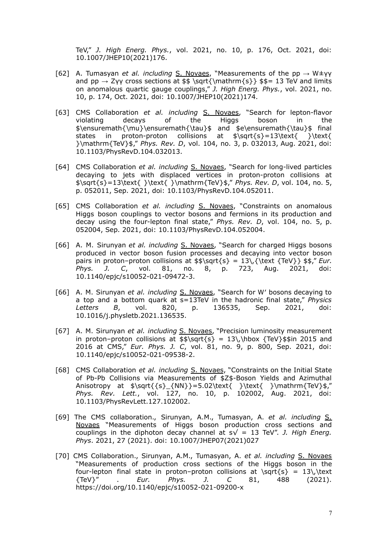TeV," *J. High Energ. Phys.*, vol. 2021, no. 10, p. 176, Oct. 2021, doi: 10.1007/JHEP10(2021)176.

- [62] A. Tumasyan *et al. including* S. Novaes, "Measurements of the pp → W±γγ and pp  $\rightarrow$  Zγγ cross sections at \$\$ \sqrt{\mathrm{s}} \$\$= 13 TeV and limits on anomalous quartic gauge couplings," *J. High Energ. Phys.*, vol. 2021, no. 10, p. 174, Oct. 2021, doi: 10.1007/JHEP10(2021)174.
- [63] CMS Collaboration *et al. including* S. Novaes, "Search for lepton-flavor violating decays of the Higgs boson in the \$\ensuremath{\mu}\ensuremath{\tau}\$ and \$e\ensuremath{\tau}\$ final states in proton-proton collisions at \$\sqrt{s}=13\text{ }\text{ }\mathrm{TeV}\$," *Phys. Rev. D*, vol. 104, no. 3, p. 032013, Aug. 2021, doi: 10.1103/PhysRevD.104.032013.
- [64] CMS Collaboration *et al. including* S. Novaes, "Search for long-lived particles decaying to jets with displaced vertices in proton-proton collisions at \$\sqrt{s}=13\text{ }\text{ }\mathrm{TeV}\$," *Phys. Rev. D*, vol. 104, no. 5, p. 052011, Sep. 2021, doi: 10.1103/PhysRevD.104.052011.
- [65] CMS Collaboration *et al. including* S. Novaes, "Constraints on anomalous Higgs boson couplings to vector bosons and fermions in its production and decay using the four-lepton final state," *Phys. Rev. D*, vol. 104, no. 5, p. 052004, Sep. 2021, doi: 10.1103/PhysRevD.104.052004.
- [66] A. M. Sirunyan *et al. including* S. Novaes, "Search for charged Higgs bosons produced in vector boson fusion processes and decaying into vector boson pairs in proton–proton collisions at  $$s\sqrt{s} = 13\$ . {\text {TeV}}  $$s$ ," *Eur. Phys. J. C*, vol. 81, no. 8, p. 723, Aug. 2021, doi: 10.1140/epjc/s10052-021-09472-3.
- [66] A. M. Sirunyan *et al. including* S. Novaes, "Search for W′ bosons decaying to a top and a bottom quark at s=13TeV in the hadronic final state," *Physics Letters B*, vol. 820, p. 136535, Sep. 2021, doi: 10.1016/j.physletb.2021.136535.
- [67] A. M. Sirunyan *et al. including* S. Novaes, "Precision luminosity measurement in proton–proton collisions at  $\sqrt{\s}$  = 13\,\hbox {TeV}\$\$in 2015 and 2016 at CMS," *Eur. Phys. J. C*, vol. 81, no. 9, p. 800, Sep. 2021, doi: 10.1140/epjc/s10052-021-09538-2.
- [68] CMS Collaboration *et al. including* S. Novaes, "Constraints on the Initial State of Pb-Pb Collisions via Measurements of \$Z\$-Boson Yields and Azimuthal Anisotropy at  $\sqrt{\s}_{NN}=-5.02\text{ }\text{ }\mathrm{TeV}$ , *Phys. Rev. Lett.*, vol. 127, no. 10, p. 102002, Aug. 2021, doi: 10.1103/PhysRevLett.127.102002.
- [69] The CMS collaboration., Sirunyan, A.M., Tumasyan, A. *et al. including* S. Novaes "Measurements of Higgs boson production cross sections and couplings in the diphoton decay channel at  $s\sqrt{ } = 13$  TeV". *J. High Energ. Phys*. 2021, 27 (2021). doi: 10.1007/JHEP07(2021)027
- [70] CMS Collaboration., Sirunyan, A.M., Tumasyan, A. *et al. including* S. Novaes "Measurements of production cross sections of the Higgs boson in the four-lepton final state in proton–proton collisions at  $\sqrt{s} = 13\,\text{e}$ {TeV}" . *Eur. Phys. J. C* 81, 488 (2021). https://doi.org/10.1140/epjc/s10052-021-09200-x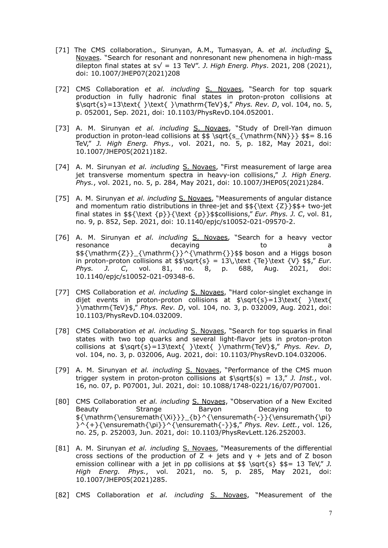- [71] The CMS collaboration., Sirunyan, A.M., Tumasyan, A. *et al. including* S. Novaes. "Search for resonant and nonresonant new phenomena in high-mass dilepton final states at  $s\sqrt{ } = 13$  TeV". *J. High Energ. Phys.* 2021, 208 (2021), doi: 10.1007/JHEP07(2021)208
- [72] CMS Collaboration *et al. including* S. Novaes, "Search for top squark production in fully hadronic final states in proton-proton collisions at \$\sqrt{s}=13\text{ }\text{ }\mathrm{TeV}\$," *Phys. Rev. D*, vol. 104, no. 5, p. 052001, Sep. 2021, doi: 10.1103/PhysRevD.104.052001.
- [73] A. M. Sirunyan *et al. including* S. Novaes, "Study of Drell-Yan dimuon production in proton-lead collisions at \$\$ \sqrt{s\_{\mathrm{NN}}} \$\$= 8.16 TeV," *J. High Energ. Phys.*, vol. 2021, no. 5, p. 182, May 2021, doi: 10.1007/JHEP05(2021)182.
- [74] A. M. Sirunyan *et al. including* S. Novaes, "First measurement of large area jet transverse momentum spectra in heavy-ion collisions," *J. High Energ. Phys.*, vol. 2021, no. 5, p. 284, May 2021, doi: 10.1007/JHEP05(2021)284.
- [75] A. M. Sirunyan *et al. including* S. Novaes, "Measurements of angular distance and momentum ratio distributions in three-jet and  $$f\text{Z}}\$ final states in \$\${\text {p}}{\text {p}}\$\$collisions," *Eur. Phys. J. C*, vol. 81, no. 9, p. 852, Sep. 2021, doi: 10.1140/epjc/s10052-021-09570-2.
- [76] A. M. Sirunyan *et al. including* S. Novaes, "Search for a heavy vector resonance a decaying to be a  $\frac{\mathrm{Z}}{\mathrm{\}}^{\mathrm{\}}\$  = boson and a Higgs boson in proton-proton collisions at  $$s\sqrt{s} = 13\,\text{TeV}$  {Te}\text  $\{\V\}$   $$s," Eur.$ *Phys. J. C*, vol. 81, no. 8, p. 688, Aug. 2021, doi: 10.1140/epjc/s10052-021-09348-6.
- [77] CMS Collaboration *et al. including* S. Novaes, "Hard color-singlet exchange in dijet events in proton-proton collisions at \$\sqrt{s}=13\text{ }\text{ }\mathrm{TeV}\$," *Phys. Rev. D*, vol. 104, no. 3, p. 032009, Aug. 2021, doi: 10.1103/PhysRevD.104.032009.
- [78] CMS Collaboration *et al. including* S. Novaes, "Search for top squarks in final states with two top quarks and several light-flavor jets in proton-proton collisions at  $\sqrt{s}=13\text{ } \text{ } \mathrm{TeV}\$ ," *Phys. Rev. D*, vol. 104, no. 3, p. 032006, Aug. 2021, doi: 10.1103/PhysRevD.104.032006.
- [79] A. M. Sirunyan *et al. including* S. Novaes, "Performance of the CMS muon trigger system in proton-proton collisions at \$\sqrt\$(s) = 13," *J. Inst.*, vol. 16, no. 07, p. P07001, Jul. 2021, doi: 10.1088/1748-0221/16/07/P07001.
- [80] CMS Collaboration *et al. including* S. Novaes, "Observation of a New Excited Beauty Strange Baryon Decaying to \${\mathrm{\ensuremath{\Xi}}}\_{b}^{\ensuremath{-}}{\ensuremath{\pi} }^{+}{\ensuremath{\pi}}^{\ensuremath{-}}\$," *Phys. Rev. Lett.*, vol. 126, no. 25, p. 252003, Jun. 2021, doi: 10.1103/PhysRevLett.126.252003.
- [81] A. M. Sirunyan *et al. including* S. Novaes, "Measurements of the differential cross sections of the production of Z + jets and  $\gamma$  + jets and of Z boson emission collinear with a jet in pp collisions at \$\$ \sqrt{s} \$\$= 13 TeV," *J. High Energ. Phys.*, vol. 2021, no. 5, p. 285, May 2021, doi: 10.1007/JHEP05(2021)285.
- [82] CMS Collaboration *et al. including* S. Novaes, "Measurement of the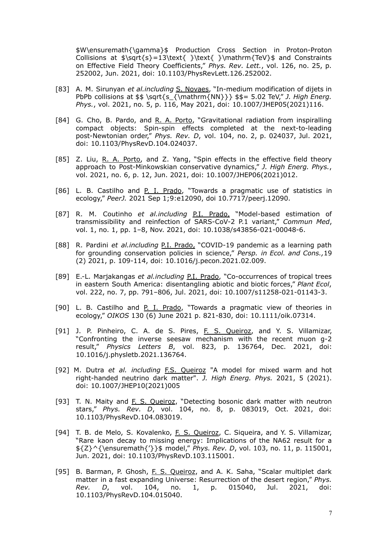\$W\ensuremath{\gamma}\$ Production Cross Section in Proton-Proton Collisions at \$\sqrt{s}=13\text{ }\text{ }\mathrm{TeV}\$ and Constraints on Effective Field Theory Coefficients," *Phys. Rev. Lett.*, vol. 126, no. 25, p. 252002, Jun. 2021, doi: 10.1103/PhysRevLett.126.252002.

- [83] A. M. Sirunyan *et al.including* S. Novaes, "In-medium modification of dijets in PbPb collisions at \$\$ \sqrt{s\_{\mathrm{NN}}} \$\$= 5.02 TeV," *J. High Energ. Phys.*, vol. 2021, no. 5, p. 116, May 2021, doi: 10.1007/JHEP05(2021)116.
- [84] G. Cho, B. Pardo, and R. A. Porto, "Gravitational radiation from inspiralling compact objects: Spin-spin effects completed at the next-to-leading post-Newtonian order," *Phys. Rev. D*, vol. 104, no. 2, p. 024037, Jul. 2021, doi: 10.1103/PhysRevD.104.024037.
- [85] Z. Liu, R. A. Porto, and Z. Yang, "Spin effects in the effective field theory approach to Post-Minkowskian conservative dynamics," *J. High Energ. Phys.*, vol. 2021, no. 6, p. 12, Jun. 2021, doi: 10.1007/JHEP06(2021)012.
- [86] L. B. Castilho and P. I. Prado, "Towards a pragmatic use of statistics in ecology," *PeerJ.* 2021 Sep 1;9:e12090, doi 10.7717/peerj.12090.
- [87] R. M. Coutinho *et al.including* P.I. Prado, "Model-based estimation of transmissibility and reinfection of SARS-CoV-2 P.1 variant," *Commun Med*, vol. 1, no. 1, pp. 1–8, Nov. 2021, doi: 10.1038/s43856-021-00048-6.
- [88] R. Pardini *et al.including* P.I. Prado, "COVID-19 pandemic as a learning path for grounding conservation policies in science," *Persp. in Ecol. and Cons.,*19 (2) 2021, p. 109-114, doi: 10.1016/j.pecon.2021.02.009.
- [89] E.-L. Marjakangas *et al.including* P.I. Prado, "Co-occurrences of tropical trees in eastern South America: disentangling abiotic and biotic forces," *Plant Ecol*, vol. 222, no. 7, pp. 791–806, Jul. 2021, doi: 10.1007/s11258-021-01143-3.
- [90] L. B. Castilho and P. I. Prado, "Towards a pragmatic view of theories in ecology," *OIKOS* 130 (6) June 2021 p. 821-830, doi: 10.1111/oik.07314.
- [91] J. P. Pinheiro, C. A. de S. Pires, F. S. Queiroz, and Y. S. Villamizar, "Confronting the inverse seesaw mechanism with the recent muon g-2 result," *Physics Letters B*, vol. 823, p. 136764, Dec. 2021, doi: 10.1016/j.physletb.2021.136764.
- [92] M. Dutra *et al. including* F.S. Queiroz "A model for mixed warm and hot right-handed neutrino dark matter". *J. High Energ. Phys.* 2021, 5 (2021). doi: 10.1007/JHEP10(2021)005
- [93] T. N. Maity and F. S. Queiroz, "Detecting bosonic dark matter with neutron stars," *Phys. Rev. D*, vol. 104, no. 8, p. 083019, Oct. 2021, doi: 10.1103/PhysRevD.104.083019.
- [94] T. B. de Melo, S. Kovalenko, F. S. Queiroz, C. Siqueira, and Y. S. Villamizar, "Rare kaon decay to missing energy: Implications of the NA62 result for a \${Z}^{\ensuremath{'}}\$ model," *Phys. Rev. D*, vol. 103, no. 11, p. 115001, Jun. 2021, doi: 10.1103/PhysRevD.103.115001.
- [95] B. Barman, P. Ghosh, F. S. Queiroz, and A. K. Saha, "Scalar multiplet dark matter in a fast expanding Universe: Resurrection of the desert region," *Phys. Rev. D*, vol. 104, no. 1, p. 015040, Jul. 2021, doi: 10.1103/PhysRevD.104.015040.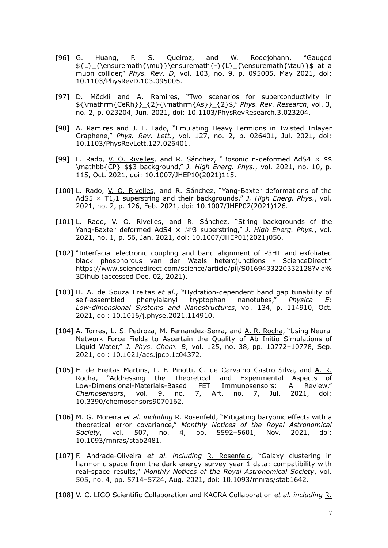- [96] G. Huang, F. S. Queiroz, and W. Rodejohann, "Gauged \${L}\_{\ensuremath{\mu}}\ensuremath{-}{L}\_{\ensuremath{\tau}}\$ at a muon collider," *Phys. Rev. D*, vol. 103, no. 9, p. 095005, May 2021, doi: 10.1103/PhysRevD.103.095005.
- [97] D. Möckli and A. Ramires, "Two scenarios for superconductivity in \${\mathrm{CeRh}}\_{2}{\mathrm{As}}\_{2}\$," *Phys. Rev. Research*, vol. 3, no. 2, p. 023204, Jun. 2021, doi: 10.1103/PhysRevResearch.3.023204.
- [98] A. Ramires and J. L. Lado, "Emulating Heavy Fermions in Twisted Trilayer Graphene," *Phys. Rev. Lett.*, vol. 127, no. 2, p. 026401, Jul. 2021, doi: 10.1103/PhysRevLett.127.026401.
- [99] L. Rado, V. O. Rivelles, and R. Sánchez, "Bosonic η-deformed AdS4 × \$\$ \mathbb{CP} \$\$3 background," *J. High Energ. Phys.*, vol. 2021, no. 10, p. 115, Oct. 2021, doi: 10.1007/JHEP10(2021)115.
- [100] L. Rado, V. O. Rivelles, and R. Sánchez, "Yang-Baxter deformations of the AdS5 × T1,1 superstring and their backgrounds," *J. High Energ. Phys.*, vol. 2021, no. 2, p. 126, Feb. 2021, doi: 10.1007/JHEP02(2021)126.
- [101] L. Rado, V. O. Rivelles, and R. Sánchez, "String backgrounds of the Yang-Baxter deformed AdS4 × ℂℙ3 superstring," *J. High Energ. Phys.*, vol. 2021, no. 1, p. 56, Jan. 2021, doi: 10.1007/JHEP01(2021)056.
- [102] "Interfacial electronic coupling and band alignment of P3HT and exfoliated black phosphorous van der Waals heterojunctions - ScienceDirect." https://www.sciencedirect.com/science/article/pii/S0169433220332128?via% 3Dihub (accessed Dec. 02, 2021).
- [103] H. A. de Souza Freitas *et al.*, "Hydration-dependent band gap tunability of self-assembled phenylalanyl tryptophan nanotubes," *Physica E: Low-dimensional Systems and Nanostructures*, vol. 134, p. 114910, Oct. 2021, doi: 10.1016/j.physe.2021.114910.
- [104] A. Torres, L. S. Pedroza, M. Fernandez-Serra, and A. R. Rocha, "Using Neural Network Force Fields to Ascertain the Quality of Ab Initio Simulations of Liquid Water," *J. Phys. Chem. B*, vol. 125, no. 38, pp. 10772–10778, Sep. 2021, doi: 10.1021/acs.jpcb.1c04372.
- [105] E. de Freitas Martins, L. F. Pinotti, C. de Carvalho Castro Silva, and A. R. Rocha, "Addressing the Theoretical and Experimental Aspects of Low-Dimensional-Materials-Based FET Immunosensors: A Review," *Chemosensors*, vol. 9, no. 7, Art. no. 7, Jul. 2021, doi: 10.3390/chemosensors9070162.
- [106] M. G. Moreira *et al. including* R. Rosenfeld, "Mitigating baryonic effects with a theoretical error covariance," *Monthly Notices of the Royal Astronomical Society*, vol. 507, no. 4, pp. 5592–5601, Nov. 2021, doi: 10.1093/mnras/stab2481.
- [107] F. Andrade-Oliveira *et al. including* R. Rosenfeld, "Galaxy clustering in harmonic space from the dark energy survey year 1 data: compatibility with real-space results," *Monthly Notices of the Royal Astronomical Society*, vol. 505, no. 4, pp. 5714–5724, Aug. 2021, doi: 10.1093/mnras/stab1642.
- [108] V. C. LIGO Scientific Collaboration and KAGRA Collaboration *et al. including* R.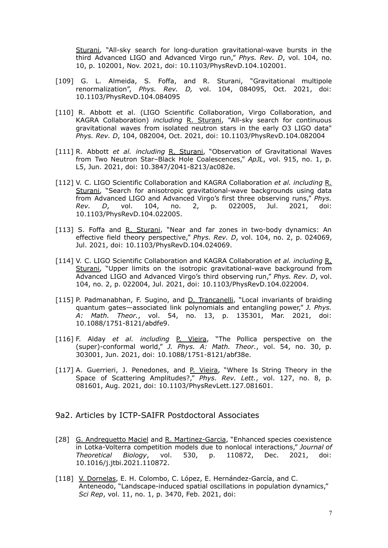Sturani, "All-sky search for long-duration gravitational-wave bursts in the third Advanced LIGO and Advanced Virgo run," *Phys. Rev. D*, vol. 104, no. 10, p. 102001, Nov. 2021, doi: 10.1103/PhysRevD.104.102001.

- [109] G. L. Almeida, S. Foffa, and R. Sturani, "Gravitational multipole renormalization", *Phys. Rev. D,* vol. 104, 084095, Oct. 2021, doi: 10.1103/PhysRevD.104.084095
- [110] R. Abbott et al. (LIGO Scientific Collaboration, Virgo Collaboration, and KAGRA Collaboration) *including* R. Sturani, "All-sky search for continuous gravitational waves from isolated neutron stars in the early O3 LIGO data" *Phys. Rev. D*, 104, 082004, Oct. 2021, doi: 10.1103/PhysRevD.104.082004
- [111] R. Abbott *et al. including* R. Sturani, "Observation of Gravitational Waves from Two Neutron Star–Black Hole Coalescences," *ApJL*, vol. 915, no. 1, p. L5, Jun. 2021, doi: 10.3847/2041-8213/ac082e.
- [112] V. C. LIGO Scientific Collaboration and KAGRA Collaboration *et al. including* R. Sturani, "Search for anisotropic gravitational-wave backgrounds using data from Advanced LIGO and Advanced Virgo's first three observing runs," *Phys. Rev. D*, vol. 104, no. 2, p. 022005, Jul. 2021, doi: 10.1103/PhysRevD.104.022005.
- [113] S. Foffa and R. Sturani, "Near and far zones in two-body dynamics: An effective field theory perspective," *Phys. Rev. D*, vol. 104, no. 2, p. 024069, Jul. 2021, doi: 10.1103/PhysRevD.104.024069.
- [114] V. C. LIGO Scientific Collaboration and KAGRA Collaboration *et al. including* R. Sturani, "Upper limits on the isotropic gravitational-wave background from Advanced LIGO and Advanced Virgo's third observing run," *Phys. Rev. D*, vol. 104, no. 2, p. 022004, Jul. 2021, doi: 10.1103/PhysRevD.104.022004.
- [115] P. Padmanabhan, F. Sugino, and D. Trancanelli, "Local invariants of braiding quantum gates—associated link polynomials and entangling power," *J. Phys. A: Math. Theor.*, vol. 54, no. 13, p. 135301, Mar. 2021, doi: 10.1088/1751-8121/abdfe9.
- [116] F. Alday *et al. including* P. Vieira, "The Pollica perspective on the (super)-conformal world," *J. Phys. A: Math. Theor.*, vol. 54, no. 30, p. 303001, Jun. 2021, doi: 10.1088/1751-8121/abf38e.
- [117] A. Guerrieri, J. Penedones, and P. Vieira, "Where Is String Theory in the Space of Scattering Amplitudes?," *Phys. Rev. Lett.*, vol. 127, no. 8, p. 081601, Aug. 2021, doi: 10.1103/PhysRevLett.127.081601.
- 9a2. Articles by ICTP-SAIFR Postdoctoral Associates
- [28] G. Andreguetto Maciel and R. Martinez-Garcia, "Enhanced species coexistence in Lotka-Volterra competition models due to nonlocal interactions," *Journal of Theoretical Biology*, vol. 530, p. 110872, Dec. 2021, doi: 10.1016/j.jtbi.2021.110872.
- [118] V. Dornelas, E. H. Colombo, C. López, E. Hernández-García, and C. Anteneodo, "Landscape-induced spatial oscillations in population dynamics," *Sci Rep*, vol. 11, no. 1, p. 3470, Feb. 2021, doi: